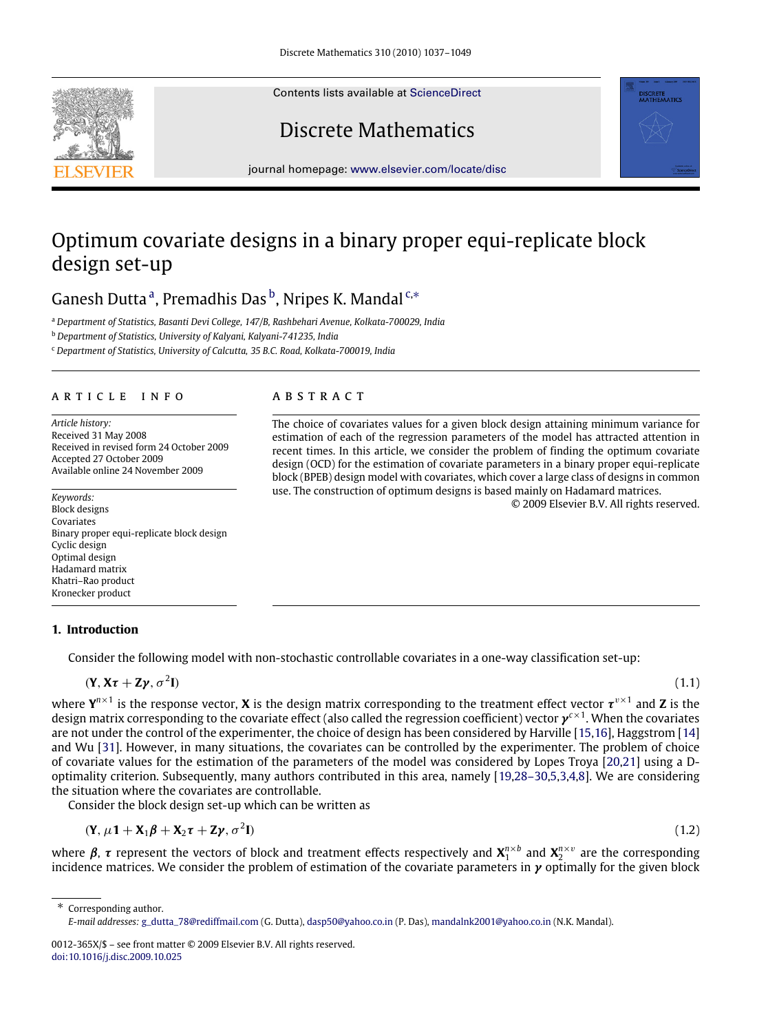Contents lists available at [ScienceDirect](http://www.elsevier.com/locate/disc)

# Discrete Mathematics

journal homepage: [www.elsevier.com/locate/disc](http://www.elsevier.com/locate/disc)

## Optimum covariate designs in a binary proper equi-replicate block design set-up

G[a](#page-0-0)nesh Dutta<sup>a</sup>, Premadhis Das<sup>[b](#page-0-1)</sup>, Nripes K. Mandal<sup>[c,](#page-0-2)\*</sup>

<span id="page-0-0"></span><sup>a</sup> *Department of Statistics, Basanti Devi College, 147/B, Rashbehari Avenue, Kolkata-700029, India*

<span id="page-0-1"></span><sup>b</sup> *Department of Statistics, University of Kalyani, Kalyani-741235, India*

<span id="page-0-2"></span><sup>c</sup> *Department of Statistics, University of Calcutta, 35 B.C. Road, Kolkata-700019, India*

## a r t i c l e i n f o

*Article history:* Received 31 May 2008 Received in revised form 24 October 2009 Accepted 27 October 2009 Available online 24 November 2009

*Keywords:* Block designs Covariates Binary proper equi-replicate block design Cyclic design Optimal design Hadamard matrix Khatri–Rao product Kronecker product

## a b s t r a c t

The choice of covariates values for a given block design attaining minimum variance for estimation of each of the regression parameters of the model has attracted attention in recent times. In this article, we consider the problem of finding the optimum covariate design (OCD) for the estimation of covariate parameters in a binary proper equi-replicate block (BPEB) design model with covariates, which cover a large class of designs in common use. The construction of optimum designs is based mainly on Hadamard matrices.

<span id="page-0-4"></span>© 2009 Elsevier B.V. All rights reserved.

**DISCRETE**<br>MATHEMATICS

## **1. Introduction**

Consider the following model with non-stochastic controllable covariates in a one-way classification set-up:

$$
(\mathbf{Y}, \mathbf{X}\boldsymbol{\tau} + \mathbf{Z}\boldsymbol{\gamma}, \sigma^2 \mathbf{I})
$$

**I**) (1.1)

where  $Y^{n\times 1}$  is the response vector, **X** is the design matrix corresponding to the treatment effect vector  $\tau^{v\times 1}$  and **Z** is the design matrix corresponding to the covariate effect (also called the regression coefficient) vector γ *c*×1 . When the covariates are not under the control of the experimenter, the choice of design has been considered by Harville [\[15,](#page-12-0)[16\]](#page-12-1), Haggstrom [\[14\]](#page-12-2) and Wu [\[31\]](#page-12-3). However, in many situations, the covariates can be controlled by the experimenter. The problem of choice of covariate values for the estimation of the parameters of the model was considered by Lopes Troya [\[20](#page-12-4)[,21\]](#page-12-5) using a Doptimality criterion. Subsequently, many authors contributed in this area, namely [\[19](#page-12-6)[,28–30,](#page-12-7)[5,](#page-12-8)[3](#page-12-9)[,4](#page-12-10)[,8\]](#page-12-11). We are considering the situation where the covariates are controllable.

Consider the block design set-up which can be written as

$$
(\mathbf{Y}, \mu \mathbf{1} + \mathbf{X}_1 \boldsymbol{\beta} + \mathbf{X}_2 \boldsymbol{\tau} + \mathbf{Z} \boldsymbol{\gamma}, \sigma^2 \mathbf{I}) \tag{1.2}
$$

where  $\beta$ ,  $\tau$  represent the vectors of block and treatment effects respectively and  $X_1^{n\times b}$  and  $X_2^{n\times v}$  are the corresponding incidence matrices. We consider the problem of estimation of the covariate parameters in  $\gamma$  optimally for the given block

<span id="page-0-3"></span>Corresponding author. *E-mail addresses:* [g\\_dutta\\_78@rediffmail.com](mailto:g_dutta_78@rediffmail.com) (G. Dutta), [dasp50@yahoo.co.in](mailto:dasp50@yahoo.co.in) (P. Das), [mandalnk2001@yahoo.co.in](mailto:mandalnk2001@yahoo.co.in) (N.K. Mandal).



<sup>0012-365</sup>X/\$ – see front matter © 2009 Elsevier B.V. All rights reserved. [doi:10.1016/j.disc.2009.10.025](http://dx.doi.org/10.1016/j.disc.2009.10.025)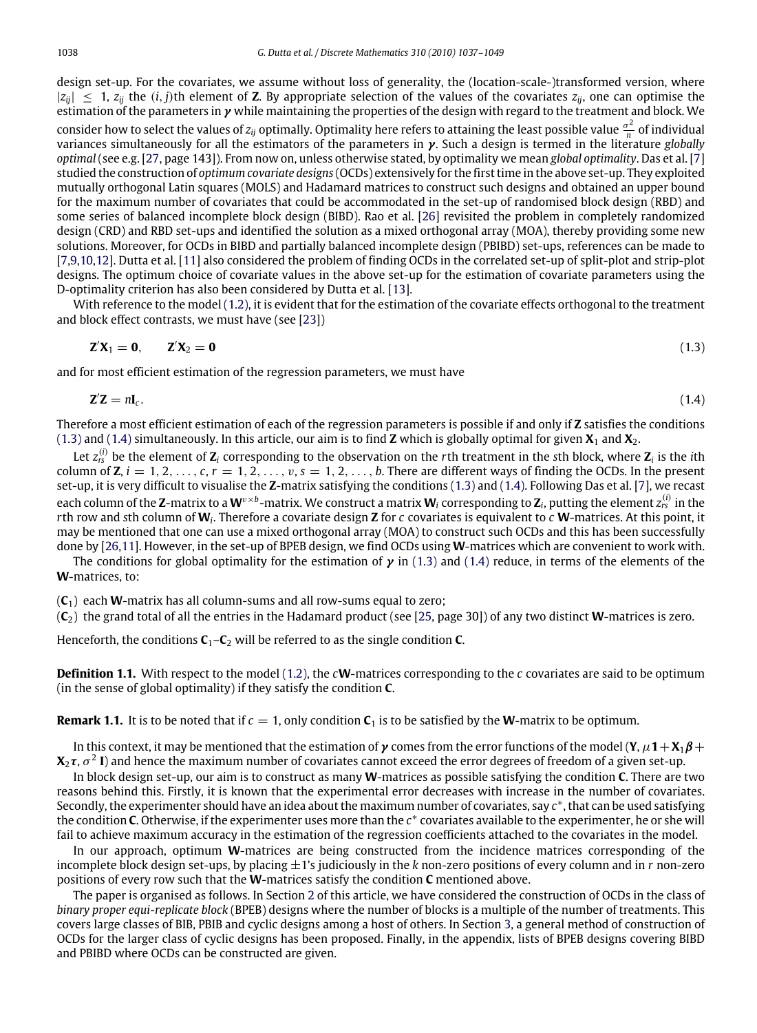design set-up. For the covariates, we assume without loss of generality, the (location-scale-)transformed version, where  $|z_{ij}| \leq 1$ ,  $z_{ij}$  the  $(i, j)$ th element of **Z**. By appropriate selection of the values of the covariates  $z_{ij}$ , one can optimise the estimation of the parameters in  $\gamma$  while maintaining the properties of the design with regard to the treatment and block. We consider how to select the values of  $z_{ij}$  optimally. Optimality here refers to attaining the least possible value  $\frac{\sigma^2}{n}$  $\frac{\partial^2}{\partial n}$  of individual variances simultaneously for all the estimators of the parameters in γ. Such a design is termed in the literature *globally optimal* (see e.g. [\[27,](#page-12-12) page 143]). From now on, unless otherwise stated, by optimality we mean *global optimality*. Das et al. [\[7\]](#page-12-13) studied the construction of *optimum covariate designs* (OCDs) extensively for the first time in the above set-up. They exploited mutually orthogonal Latin squares (MOLS) and Hadamard matrices to construct such designs and obtained an upper bound for the maximum number of covariates that could be accommodated in the set-up of randomised block design (RBD) and some series of balanced incomplete block design (BIBD). Rao et al. [\[26\]](#page-12-14) revisited the problem in completely randomized design (CRD) and RBD set-ups and identified the solution as a mixed orthogonal array (MOA), thereby providing some new solutions. Moreover, for OCDs in BIBD and partially balanced incomplete design (PBIBD) set-ups, references can be made to [\[7,](#page-12-13)[9](#page-12-15)[,10,](#page-12-16)[12\]](#page-12-17). Dutta et al. [\[11\]](#page-12-18) also considered the problem of finding OCDs in the correlated set-up of split-plot and strip-plot designs. The optimum choice of covariate values in the above set-up for the estimation of covariate parameters using the D-optimality criterion has also been considered by Dutta et al. [\[13\]](#page-12-19).

With reference to the model [\(1.2\),](#page-0-4) it is evident that for the estimation of the covariate effects orthogonal to the treatment and block effect contrasts, we must have (see [\[23\]](#page-12-20))

<span id="page-1-1"></span><span id="page-1-0"></span>
$$
\mathbf{Z}'\mathbf{X}_1 = \mathbf{0}, \qquad \mathbf{Z}'\mathbf{X}_2 = \mathbf{0} \tag{1.3}
$$

and for most efficient estimation of the regression parameters, we must have

$$
\mathbf{Z}'\mathbf{Z} = n\mathbf{I}_c. \tag{1.4}
$$

Therefore a most efficient estimation of each of the regression parameters is possible if and only if **Z** satisfies the conditions [\(1.3\)](#page-1-0) and [\(1.4\)](#page-1-1) simultaneously. In this article, our aim is to find **Z** which is globally optimal for given **X**<sup>1</sup> and **X**2.

Let *z* (*i*) *rs* be the element of **Z***<sup>i</sup>* corresponding to the observation on the *r*th treatment in the *s*th block, where **Z***<sup>i</sup>* is the *i*th column of **Z**,  $i = 1, 2, \ldots, c, r = 1, 2, \ldots, v, s = 1, 2, \ldots, b$ . There are different ways of finding the OCDs. In the present set-up, it is very difficult to visualise the **Z**-matrix satisfying the conditions [\(1.3\)](#page-1-0) and [\(1.4\).](#page-1-1) Following Das et al. [\[7\]](#page-12-13), we recast each column of the **Z**-matrix to a **W**<sup>v×b</sup>-matrix. We construct a matrix **W**<sub>i</sub> corresponding to **Z**<sub>i</sub>, putting the element  $z_{rs}^{(i)}$  in the *r*th row and *s*th column of **W***<sup>i</sup>* . Therefore a covariate design **Z** for *c* covariates is equivalent to *c* **W**-matrices. At this point, it may be mentioned that one can use a mixed orthogonal array (MOA) to construct such OCDs and this has been successfully done by [\[26](#page-12-14)[,11\]](#page-12-18). However, in the set-up of BPEB design, we find OCDs using **W**-matrices which are convenient to work with.

The conditions for global optimality for the estimation of  $\gamma$  in [\(1.3\)](#page-1-0) and [\(1.4\)](#page-1-1) reduce, in terms of the elements of the **W**-matrices, to:

 $(C_1)$  each **W**-matrix has all column-sums and all row-sums equal to zero;

(**C**2) the grand total of all the entries in the Hadamard product (see [\[25,](#page-12-21) page 30]) of any two distinct **W**-matrices is zero.

Henceforth, the conditions  $C_1 - C_2$  will be referred to as the single condition **C**.

**Definition 1.1.** With respect to the model [\(1.2\),](#page-0-4) the *c***W**-matrices corresponding to the *c* covariates are said to be optimum (in the sense of global optimality) if they satisfy the condition **C**.

**Remark 1.1.** It is to be noted that if  $c = 1$ , only condition  $C_1$  is to be satisfied by the **W**-matrix to be optimum.

In this context, it may be mentioned that the estimation of  $\gamma$  comes from the error functions of the model (**Y**,  $\mu$ **1**+**X**<sub>1</sub> $\beta$ +  $X_2\tau$ ,  $\sigma^2$  I) and hence the maximum number of covariates cannot exceed the error degrees of freedom of a given set-up.

In block design set-up, our aim is to construct as many **W**-matrices as possible satisfying the condition **C**. There are two reasons behind this. Firstly, it is known that the experimental error decreases with increase in the number of covariates. Secondly, the experimenter should have an idea about the maximum number of covariates, say  $c^*$ , that can be used satisfying the condition **C**. Otherwise, if the experimenter uses more than the *c*<sup>∗</sup> covariates available to the experimenter, he or she will fail to achieve maximum accuracy in the estimation of the regression coefficients attached to the covariates in the model.

In our approach, optimum **W**-matrices are being constructed from the incidence matrices corresponding of the incomplete block design set-ups, by placing ±1's judiciously in the *k* non-zero positions of every column and in *r* non-zero positions of every row such that the **W**-matrices satisfy the condition **C** mentioned above.

The paper is organised as follows. In Section [2](#page-2-0) of this article, we have considered the construction of OCDs in the class of *binary proper equi-replicate block* (BPEB) designs where the number of blocks is a multiple of the number of treatments. This covers large classes of BIB, PBIB and cyclic designs among a host of others. In Section [3,](#page-4-0) a general method of construction of OCDs for the larger class of cyclic designs has been proposed. Finally, in the appendix, lists of BPEB designs covering BIBD and PBIBD where OCDs can be constructed are given.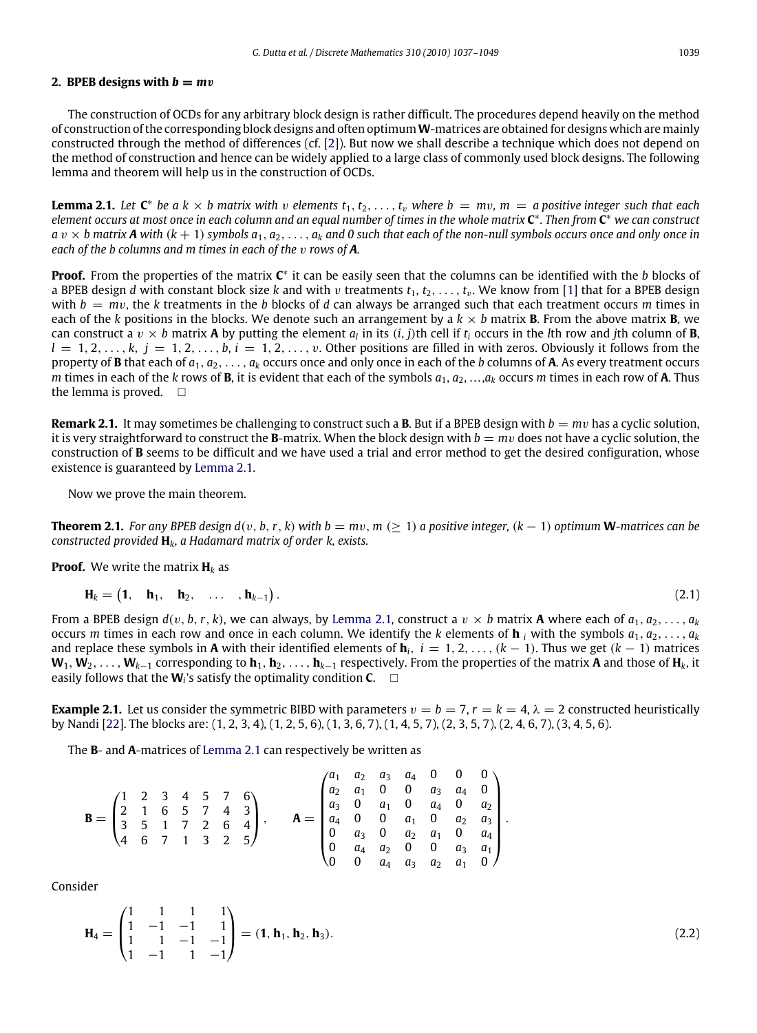## <span id="page-2-0"></span>**2.** BPEB designs with  $b = mv$

The construction of OCDs for any arbitrary block design is rather difficult. The procedures depend heavily on the method of construction of the corresponding block designs and often optimum**W**-matrices are obtained for designs which are mainly constructed through the method of differences (cf. [\[2\]](#page-12-22)). But now we shall describe a technique which does not depend on the method of construction and hence can be widely applied to a large class of commonly used block designs. The following lemma and theorem will help us in the construction of OCDs.

<span id="page-2-1"></span>**Lemma 2.1.** Let  $C^*$  be a  $k \times b$  matrix with v elements  $t_1, t_2, \ldots, t_v$  where  $b = mv$ ,  $m = a$  positive integer such that each *element occurs at most once in each column and an equal number of times in the whole matrix* **C** ∗ *. Then from* **C** <sup>∗</sup> *we can construct*  $a v \times b$  matrix **A** with  $(k + 1)$  symbols  $a_1, a_2, \ldots, a_k$  and 0 such that each of the non-null symbols occurs once and only once in *each of the b columns and m times in each of the v rows of A.* 

**Proof.** From the properties of the matrix  $C^*$  it can be easily seen that the columns can be identified with the *b* blocks of a BPEB design *d* with constant block size *k* and with *v* treatments  $t_1, t_2, \ldots, t_n$ . We know from [\[1\]](#page-12-23) that for a BPEB design with  $b = mv$ , the *k* treatments in the *b* blocks of *d* can always be arranged such that each treatment occurs *m* times in each of the *k* positions in the blocks. We denote such an arrangement by a  $k \times b$  matrix **B**. From the above matrix **B**, we can construct a  $v \times b$  matrix **A** by putting the element  $a_l$  in its  $(i, j)$ th cell if  $t_i$  occurs in the *l*th row and *j*th column of **B**,  $l = 1, 2, \ldots, k, j = 1, 2, \ldots, b, i = 1, 2, \ldots, v$ . Other positions are filled in with zeros. Obviously it follows from the property of **B** that each of *a*1, *a*2, . . . , *a<sup>k</sup>* occurs once and only once in each of the *b* columns of **A**. As every treatment occurs *m* times in each of the *k* rows of **B**, it is evident that each of the symbols *a*1, *a*2, . . . ,*a<sup>k</sup>* occurs *m* times in each row of **A**. Thus the lemma is proved.  $\square$ 

**Remark 2.1.** It may sometimes be challenging to construct such a **B**. But if a BPEB design with *b* = *m*v has a cyclic solution, it is very straightforward to construct the **B**-matrix. When the block design with  $b = mv$  does not have a cyclic solution, the construction of **B** seems to be difficult and we have used a trial and error method to get the desired configuration, whose existence is guaranteed by [Lemma 2.1.](#page-2-1)

<span id="page-2-2"></span>Now we prove the main theorem.

**Theorem 2.1.** For any BPEB design  $d(v, b, r, k)$  with  $b = mv, m (> 1)$  a positive integer,  $(k - 1)$  optimum **W**-matrices can be *constructed provided* **H***k, a Hadamard matrix of order k, exists.*

**Proof.** We write the matrix  $H_k$  as

$$
\mathbf{H}_k = \begin{pmatrix} \mathbf{1}, & \mathbf{h}_1, & \mathbf{h}_2, & \dots, & \mathbf{h}_{k-1} \end{pmatrix} . \tag{2.1}
$$

From a BPEB design  $d(v, b, r, k)$ , we can always, by [Lemma 2.1,](#page-2-1) construct a  $v \times b$  matrix **A** where each of  $a_1, a_2, \ldots, a_k$ occurs *m* times in each row and once in each column. We identify the *k* elements of **h**<sub>*i*</sub> with the symbols  $a_1, a_2, \ldots, a_k$ and replace these symbols in **A** with their identified elements of  $\mathbf{h}_i$ ,  $i = 1, 2, \ldots, (k - 1)$ . Thus we get  $(k - 1)$  matrices  $W_1, W_2, \ldots, W_{k-1}$  corresponding to  $h_1, h_2, \ldots, h_{k-1}$  respectively. From the properties of the matrix **A** and those of  $H_k$ , it easily follows that the **W***<sup>i</sup>* 's satisfy the optimality condition **C**.

**Example 2.1.** Let us consider the symmetric BIBD with parameters  $v = b = 7$ ,  $r = k = 4$ ,  $\lambda = 2$  constructed heuristically by Nandi [\[22\]](#page-12-24). The blocks are: (1, 2, 3, 4), (1, 2, 5, 6), (1, 3, 6, 7), (1, 4, 5, 7), (2, 3, 5, 7), (2, 4, 6, 7), (3, 4, 5, 6).

<span id="page-2-3"></span>.

The **B**- and **A**-matrices of [Lemma 2.1](#page-2-1) can respectively be written as

$$
\mathbf{B} = \begin{pmatrix} 1 & 2 & 3 & 4 & 5 & 7 & 6 \\ 2 & 1 & 6 & 5 & 7 & 4 & 3 \\ 3 & 5 & 1 & 7 & 2 & 6 & 4 \\ 4 & 6 & 7 & 1 & 3 & 2 & 5 \end{pmatrix}, \qquad \mathbf{A} = \begin{pmatrix} a_1 & a_2 & a_3 & a_4 & 0 & 0 & 0 \\ a_2 & a_1 & 0 & 0 & a_3 & a_4 & 0 \\ a_3 & 0 & a_1 & 0 & a_4 & 0 & a_2 \\ a_4 & 0 & 0 & a_1 & 0 & a_2 & a_3 \\ 0 & a_3 & 0 & a_2 & a_1 & 0 & a_4 \\ 0 & a_4 & a_2 & 0 & 0 & a_3 & a_1 \\ 0 & 0 & a_4 & a_3 & a_2 & a_1 & 0 \end{pmatrix}
$$

Consider

$$
\mathbf{H}_4 = \begin{pmatrix} 1 & 1 & 1 & 1 \\ 1 & -1 & -1 & 1 \\ 1 & 1 & -1 & -1 \\ 1 & -1 & 1 & -1 \end{pmatrix} = (\mathbf{1}, \mathbf{h}_1, \mathbf{h}_2, \mathbf{h}_3). \tag{2.2}
$$

<span id="page-2-4"></span>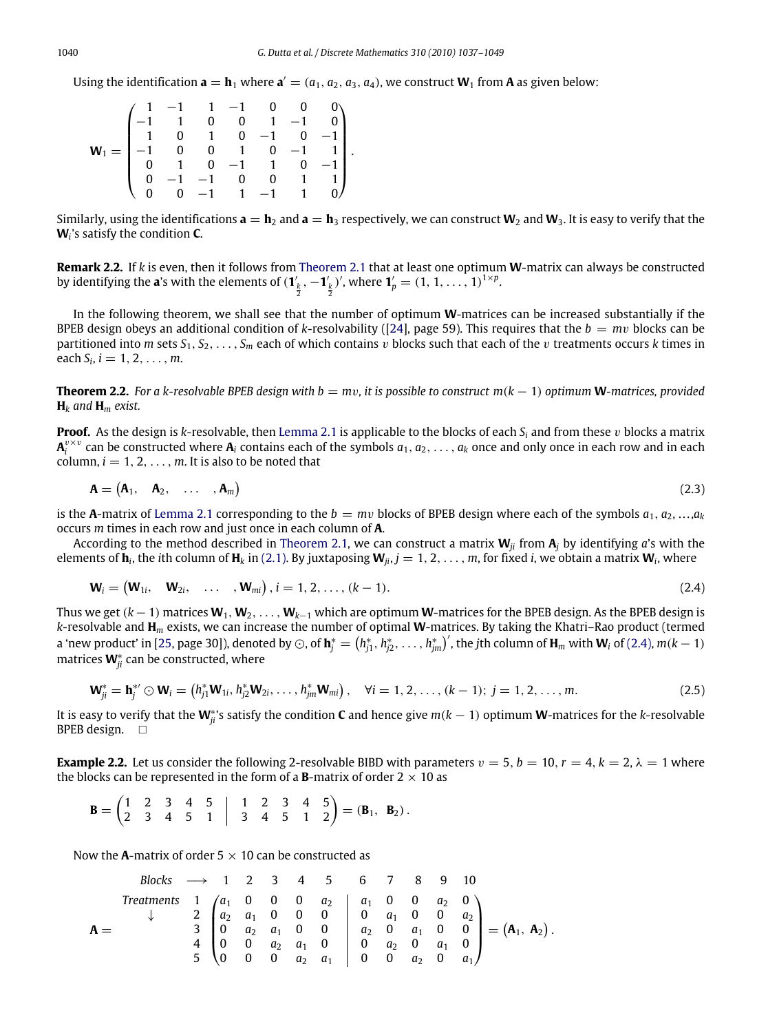Using the identification  $\mathbf{a} = \mathbf{h}_1$  where  $\mathbf{a}' = (a_1, a_2, a_3, a_4)$ , we construct  $\mathbf{W}_1$  from  $\mathbf{A}$  as given below:

2

<span id="page-3-2"></span><span id="page-3-0"></span>2

|  |  |  | $\begin{pmatrix} 1 & -1 & 1 & -1 & 0 & 0 & 0 \\ -1 & 1 & 0 & 0 & 1 & -1 & 0 \\ 1 & 0 & 1 & 0 & -1 & 0 & -1 \\ -1 & 0 & 0 & 1 & 0 & -1 & 1 \\ 0 & 1 & 0 & -1 & 1 & 0 & -1 \\ 0 & -1 & -1 & 0 & 0 & 1 & 1 \\ 0 & 0 & -1 & 1 & -1 & 1 & 0 \end{pmatrix}.$ |  |
|--|--|--|--------------------------------------------------------------------------------------------------------------------------------------------------------------------------------------------------------------------------------------------------------|--|
|  |  |  |                                                                                                                                                                                                                                                        |  |
|  |  |  |                                                                                                                                                                                                                                                        |  |
|  |  |  |                                                                                                                                                                                                                                                        |  |
|  |  |  |                                                                                                                                                                                                                                                        |  |
|  |  |  |                                                                                                                                                                                                                                                        |  |
|  |  |  |                                                                                                                                                                                                                                                        |  |

Similarly, using the identifications  $\mathbf{a} = \mathbf{h}_2$  and  $\mathbf{a} = \mathbf{h}_3$  respectively, we can construct  $\mathbf{W}_2$  and  $\mathbf{W}_3$ . It is easy to verify that the **W***<sup>i</sup>* 's satisfy the condition **C**.

<span id="page-3-3"></span>**Remark 2.2.** If *k* is even, then it follows from [Theorem 2.1](#page-2-2) that at least one optimum **W**-matrix can always be constructed by identifying the **a**'s with the elements of  $(\mathbf{1}'_k, -\mathbf{1}'_k)'$ , where  $\mathbf{1}'_p = (1, 1, \ldots, 1)^{1 \times p}$ .

In the following theorem, we shall see that the number of optimum **W**-matrices can be increased substantially if the BPEB design obeys an additional condition of *k*-resolvability ([\[24\]](#page-12-25), page 59). This requires that the  $b = mv$  blocks can be partitioned into *m* sets  $S_1, S_2, \ldots, S_m$  each of which contains v blocks such that each of the v treatments occurs *k* times in each  $S_i$ ,  $i = 1, 2, ..., m$ .

<span id="page-3-1"></span>**Theorem 2.2.** For a k-resolvable BPEB design with  $b = mv$ , it is possible to construct  $m(k - 1)$  optimum **W**-matrices, provided  $H_k$  *and*  $H_m$  *exist.* 

**Proof.** As the design is *k*-resolvable, then [Lemma 2.1](#page-2-1) is applicable to the blocks of each  $S_i$  and from these v blocks a matrix  $A_i^{v \times v}$  can be constructed where  $A_i$  contains each of the symbols  $a_1, a_2, \ldots, a_k$  once and only once in each row and in each column,  $i = 1, 2, \ldots, m$ . It is also to be noted that

$$
\mathbf{A} = (\mathbf{A}_1, \quad \mathbf{A}_2, \quad \dots, \mathbf{A}_m) \tag{2.3}
$$

is the **A**-matrix of [Lemma 2.1](#page-2-1) corresponding to the  $b = mv$  blocks of BPEB design where each of the symbols  $a_1, a_2, \ldots, a_k$ occurs *m* times in each row and just once in each column of **A**.

According to the method described in [Theorem 2.1,](#page-2-2) we can construct a matrix  $W_{ij}$  from  $A_i$  by identifying *a*'s with the elements of  $\mathbf{h}_i$ , the *i*th column of  $\mathbf{H}_k$  in [\(2.1\).](#page-2-3) By juxtaposing  $\mathbf{W}_{ji}$ ,  $j = 1, 2, \ldots, m$ , for fixed *i*, we obtain a matrix  $\mathbf{W}_i$ , where

$$
\mathbf{W}_i = (\mathbf{W}_{1i}, \quad \mathbf{W}_{2i}, \quad \dots \quad, \mathbf{W}_{mi}), i = 1, 2, \dots, (k-1). \tag{2.4}
$$

Thus we get  $(k-1)$  matrices  $W_1, W_2, \ldots, W_{k-1}$  which are optimum **W**-matrices for the BPEB design. As the BPEB design is *k*-resolvable and **H***<sup>m</sup>* exists, we can increase the number of optimal **W**-matrices. By taking the Khatri–Rao product (termed a 'new product' in [\[25,](#page-12-21) page 30]), denoted by  $\odot$ , of  $\textbf{h}^*_j=\left(h^*_{j1},h^*_{j2},\ldots,h^*_{jm}\right)'$ , the jth column of  $\textbf{H}_m$  with  $\textbf{W}_i$  of [\(2.4\),](#page-3-0)  $m(k-1)$ matrices **W**<sup>∗</sup><sub>*ji*</sub> can be constructed, where

$$
\mathbf{W}_{ji}^* = \mathbf{h}_j^* \odot \mathbf{W}_i = (h_{j1}^* \mathbf{W}_{1i}, h_{j2}^* \mathbf{W}_{2i}, \dots, h_{jm}^* \mathbf{W}_{mi}), \quad \forall i = 1, 2, \dots, (k-1); j = 1, 2, \dots, m.
$$
 (2.5)

It is easy to verify that the **W**<sup>∗</sup> *ji*'s satisfy the condition **C** and hence give *m*(*k* − 1) optimum **W**-matrices for the *k*-resolvable BPEB design.  $\square$ 

**Example 2.2.** Let us consider the following 2-resolvable BIBD with parameters  $v = 5$ ,  $b = 10$ ,  $r = 4$ ,  $k = 2$ ,  $\lambda = 1$  where the blocks can be represented in the form of a **B**-matrix of order  $2 \times 10$  as

$$
\mathbf{B} = \begin{pmatrix} 1 & 2 & 3 & 4 & 5 \\ 2 & 3 & 4 & 5 & 1 \end{pmatrix} \begin{pmatrix} 1 & 2 & 3 & 4 & 5 \\ 3 & 4 & 5 & 1 & 2 \end{pmatrix} = (\mathbf{B}_1, \ \mathbf{B}_2).
$$

Now the **A**-matrix of order  $5 \times 10$  can be constructed as

Blocks 
$$
\longrightarrow
$$
 1 2 3 4 5 6 7 8 9 10

\nTreatments  $1$   $\begin{pmatrix} a_1 & 0 & 0 & 0 & a_2 \\ 4 & 2 & a_1 & 0 & 0 & 0 \\ 0 & a_2 & a_1 & 0 & 0 & 0 \\ 4 & 0 & 0 & a_2 & a_1 & 0 \\ 5 & 0 & 0 & 0 & a_2 & a_1 \end{pmatrix} \begin{pmatrix} a_1 & 0 & 0 & a_2 & 0 \\ 0 & a_2 & a_1 & 0 & 0 \\ 0 & 0 & a_2 & a_1 & 0 \\ 0 & 0 & 0 & a_2 & a_1 \end{pmatrix} = (A_1, A_2).$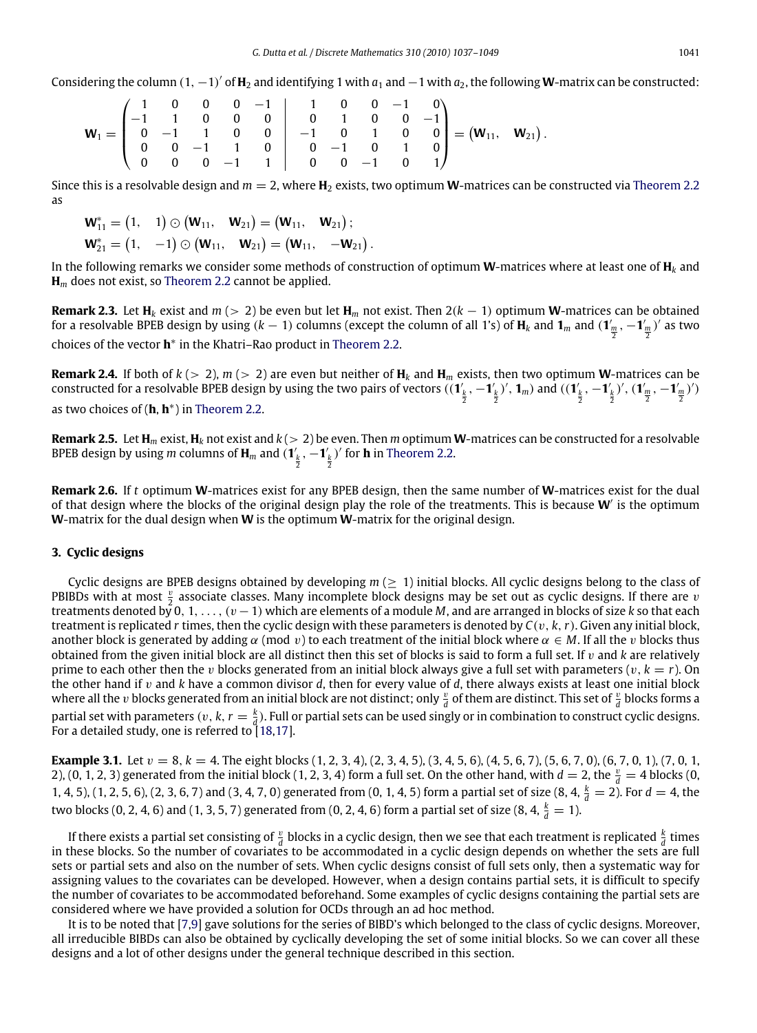Considering the column  $(1, -1)'$  of  $H_2$  and identifying 1 with  $a_1$  and  $-1$  with  $a_2$ , the following **W**-matrix can be constructed:

$$
\textbf{W}_1 = \begin{pmatrix} 1 & 0 & 0 & 0 & -1 \\ -1 & 1 & 0 & 0 & 0 \\ 0 & -1 & 1 & 0 & 0 \\ 0 & 0 & -1 & 1 & 0 \\ 0 & 0 & 0 & -1 & 1 \end{pmatrix} \begin{pmatrix} 1 & 0 & 0 & -1 & 0 \\ 0 & 1 & 0 & 0 & -1 \\ -1 & 0 & 1 & 0 & 0 \\ 0 & -1 & 0 & 1 & 0 \\ 0 & 0 & -1 & 0 & 1 \end{pmatrix} = \left( \textbf{W}_{11}, \textbf{W}_{21} \right).
$$

Since this is a resolvable design and  $m = 2$ , where  $H_2$  exists, two optimum **W**-matrices can be constructed via [Theorem 2.2](#page-3-1) as

$$
\mathbf{W}_{11}^* = \begin{pmatrix} 1, & 1 \end{pmatrix} \odot \begin{pmatrix} \mathbf{W}_{11}, & \mathbf{W}_{21} \end{pmatrix} = \begin{pmatrix} \mathbf{W}_{11}, & \mathbf{W}_{21} \end{pmatrix}; \n\mathbf{W}_{21}^* = \begin{pmatrix} 1, & -1 \end{pmatrix} \odot \begin{pmatrix} \mathbf{W}_{11}, & \mathbf{W}_{21} \end{pmatrix} = \begin{pmatrix} \mathbf{W}_{11}, & -\mathbf{W}_{21} \end{pmatrix}.
$$

In the following remarks we consider some methods of construction of optimum **W**-matrices where at least one of **H***<sup>k</sup>* and **H***<sup>m</sup>* does not exist, so [Theorem 2.2](#page-3-1) cannot be applied.

**Remark 2.3.** Let  $\mathbf{H}_k$  exist and  $m (> 2)$  be even but let  $\mathbf{H}_m$  not exist. Then  $2(k-1)$  optimum **W**-matrices can be obtained for a resolvable BPEB design by using  $(k-1)$  columns (except the column of all 1's) of  $\mathbf{H}_k$  and  $\mathbf{1}_m$  and  $(\mathbf{1}'_{\frac{m}{2}}, -\mathbf{1}'_{\frac{m}{2}})'$  as two choices of the vector **h** ∗ in the Khatri–Rao product in [Theorem 2.2.](#page-3-1)

**Remark 2.4.** If both of  $k$  (> 2),  $m$  (> 2) are even but neither of  $H_k$  and  $H_m$  exists, then two optimum **W**-matrices can be constructed for a resolvable BPEB design by using the two pairs of vectors  $((\mathbf{1}'_{\frac{k}{2}},-\mathbf{1}'_{\frac{k}{2}})',\mathbf{1}_m)$  and  $((\mathbf{1}'_{\frac{k}{2}},-\mathbf{1}'_{\frac{k}{2}})',(\mathbf{1}'_{\frac{m}{2}},-\mathbf{1}'_{\frac{m}{2}})')$ as two choices of (**h**, **h** ∗ ) in [Theorem 2.2.](#page-3-1)

<span id="page-4-1"></span>**Remark 2.5.** Let  $H_m$  exist,  $H_k$  not exist and  $k (> 2)$  be even. Then *m* optimum **W**-matrices can be constructed for a resolvable BPEB design by using *m* columns of  $\mathbf{H}_m$  and  $(\mathbf{1}'_k, -\mathbf{1}'_k)'$  for **h** in [Theorem 2.2.](#page-3-1)

2

2

<span id="page-4-2"></span>**Remark 2.6.** If *t* optimum **W**-matrices exist for any BPEB design, then the same number of **W**-matrices exist for the dual of that design where the blocks of the original design play the role of the treatments. This is because **W**′ is the optimum **W**-matrix for the dual design when **W** is the optimum **W**-matrix for the original design.

### <span id="page-4-0"></span>**3. Cyclic designs**

Cyclic designs are BPEB designs obtained by developing *m* (≥ 1) initial blocks. All cyclic designs belong to the class of PBIBDs with at most  $\frac{v}{2}$  associate classes. Many incomplete block designs may be set out as cyclic designs. If there are v treatments denoted by 0, 1, . . . , (v −1) which are elements of a module *M*, and are arranged in blocks of size *k* so that each treatment is replicated *r* times, then the cyclic design with these parameters is denoted by *C*(v, *k*,*r*). Given any initial block, another block is generated by adding  $\alpha$  (mod v) to each treatment of the initial block where  $\alpha \in M$ . If all the v blocks thus obtained from the given initial block are all distinct then this set of blocks is said to form a full set. If v and *k* are relatively prime to each other then the *v* blocks generated from an initial block always give a full set with parameters  $(v, k = r)$ . On the other hand if v and *k* have a common divisor *d*, then for every value of *d*, there always exists at least one initial block where all the  $v$  blocks generated from an initial block are not distinct; only  $\frac{v}{d}$  of them are distinct. This set of  $\frac{v}{d}$  blocks forms a partial set with parameters  $(v, k, r = \frac{k}{d})$ . Full or partial sets can be used singly or in combination to construct cyclic designs. For a detailed study, one is referred to  $18,17$ ].

**Example 3.1.** Let  $v = 8$ ,  $k = 4$ . The eight blocks (1, 2, 3, 4), (2, 3, 4, 5), (3, 4, 5, 6), (4, 5, 6, 7), (5, 6, 7, 0, 0, (6, 7, 0, 1), (7, 0, 1, 2), (0, 1, 2, 3) generated from the initial block (1, 2, 3, 4) form a full set. On the other hand, with  $d = 2$ , the  $\frac{v}{d} = 4$  blocks (0, 1, 4, 5), (1, 2, 5, 6), (2, 3, 6, 7) and (3, 4, 7, 0) generated from (0, 1, 4, 5) form a partial set of size (8, 4,  $\frac{k}{d} = 2$ ). For  $d = 4$ , the two blocks (0, 2, 4, 6) and (1, 3, 5, 7) generated from (0, 2, 4, 6) form a partial set of size (8, 4,  $\frac{k}{d}=1$ ).

If there exists a partial set consisting of  $\frac{v}{d}$  blocks in a cyclic design, then we see that each treatment is replicated  $\frac{k}{d}$  times in these blocks. So the number of covariates to be accommodated in a cyclic design depends on whether the sets are full sets or partial sets and also on the number of sets. When cyclic designs consist of full sets only, then a systematic way for assigning values to the covariates can be developed. However, when a design contains partial sets, it is difficult to specify the number of covariates to be accommodated beforehand. Some examples of cyclic designs containing the partial sets are considered where we have provided a solution for OCDs through an ad hoc method.

It is to be noted that [\[7,](#page-12-13)[9\]](#page-12-15) gave solutions for the series of BIBD's which belonged to the class of cyclic designs. Moreover, all irreducible BIBDs can also be obtained by cyclically developing the set of some initial blocks. So we can cover all these designs and a lot of other designs under the general technique described in this section.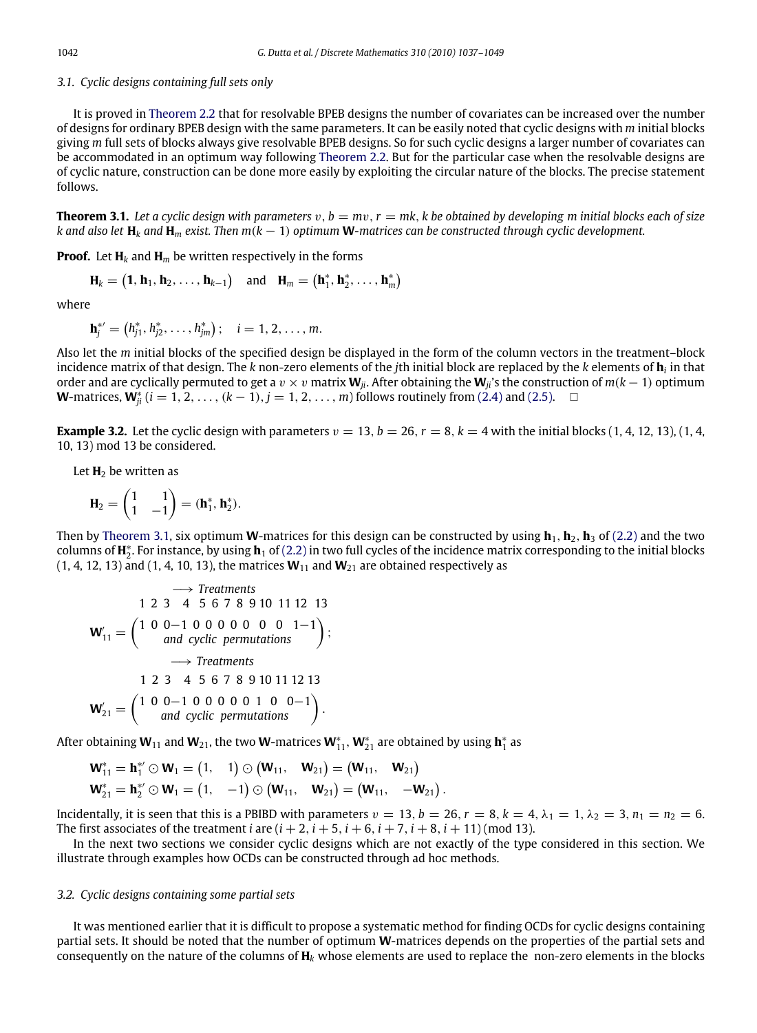### *3.1. Cyclic designs containing full sets only*

It is proved in [Theorem 2.2](#page-3-1) that for resolvable BPEB designs the number of covariates can be increased over the number of designs for ordinary BPEB design with the same parameters. It can be easily noted that cyclic designs with *m* initial blocks giving *m* full sets of blocks always give resolvable BPEB designs. So for such cyclic designs a larger number of covariates can be accommodated in an optimum way following [Theorem 2.2.](#page-3-1) But for the particular case when the resolvable designs are of cyclic nature, construction can be done more easily by exploiting the circular nature of the blocks. The precise statement follows.

<span id="page-5-0"></span>**Theorem 3.1.** Let a cyclic design with parameters  $v, b = mv, r = mk, k$  be obtained by developing m initial blocks each of size *k and also let* **H***<sup>k</sup> and* **H***<sup>m</sup> exist. Then m*(*k* − 1) *optimum* **W***-matrices can be constructed through cyclic development.*

**Proof.** Let  $\mathbf{H}_k$  and  $\mathbf{H}_m$  be written respectively in the forms

$$
\mathbf{H}_k = \left(\mathbf{1}, \mathbf{h}_1, \mathbf{h}_2, \ldots, \mathbf{h}_{k-1}\right) \quad \text{and} \quad \mathbf{H}_m = \left(\mathbf{h}_1^*, \mathbf{h}_2^*, \ldots, \mathbf{h}_m^*\right)
$$

where

$$
\mathbf{h}_{j}^{*} = (h_{j1}^{*}, h_{j2}^{*}, \ldots, h_{jm}^{*}); \quad i = 1, 2, \ldots, m.
$$

Also let the *m* initial blocks of the specified design be displayed in the form of the column vectors in the treatment–block incidence matrix of that design. The *k* non-zero elements of the *j*th initial block are replaced by the *k* elements of **h***<sup>i</sup>* in that order and are cyclically permuted to get a  $v \times v$  matrix  $\mathbf{W}_{ji}$ . After obtaining the  $\mathbf{W}_{ji}$ 's the construction of  $m(k-1)$  optimum **W**-matrices,  $\mathbf{W}_{ji}^*$  ( $i = 1, 2, ..., (k - 1), j = 1, 2, ..., m$ ) follows routinely from [\(2.4\)](#page-3-0) and [\(2.5\).](#page-3-2) □

**Example 3.2.** Let the cyclic design with parameters  $v = 13$ ,  $b = 26$ ,  $r = 8$ ,  $k = 4$  with the initial blocks (1, 4, 12, 13), (1, 4, 10, 13) mod 13 be considered.

Let **H**<sub>2</sub> be written as

$$
\mathbf{H}_2 = \begin{pmatrix} 1 & 1 \\ 1 & -1 \end{pmatrix} = (\mathbf{h}_1^*, \mathbf{h}_2^*).
$$

Then by [Theorem 3.1,](#page-5-0) six optimum **W**-matrices for this design can be constructed by using  $h_1$ ,  $h_2$ ,  $h_3$  of [\(2.2\)](#page-2-4) and the two columns of  $H_2^*$ . For instance, by using  $h_1$  of [\(2.2\)](#page-2-4) in two full cycles of the incidence matrix corresponding to the initial blocks  $(1, 4, 12, 13)$  and  $(1, 4, 10, 13)$ , the matrices  $W_{11}$  and  $W_{21}$  are obtained respectively as

$$
\begin{aligned}\n &\longrightarrow \text{Treatments} \\
1 \ 2 \ 3 \quad 4 \quad 5 \ 6 \ 7 \ 8 \ 9 \ 10 \ 11 \ 12 \ 13 \\
\mathbf{W}'_{11} = \begin{pmatrix} 1 & 0 & 0 & 1 & 0 & 0 & 0 & 0 & 1 & -1 \\ \text{and cyclic permutations} \end{pmatrix}; \\
&\longrightarrow \text{Treatments} \\
1 \ 2 \ 3 \quad 4 \quad 5 \ 6 \ 7 \ 8 \ 9 \ 10 \ 11 \ 12 \ 13 \\
\mathbf{W}'_{21} = \begin{pmatrix} 1 \ 0 \ 0 & -1 & 0 & 0 & 0 & 0 & 1 & 0 & 0 & -1 \\ \text{and cyclic permutations} \end{pmatrix}.\n \end{aligned}
$$

After obtaining  $W_{11}$  and  $W_{21}$ , the two  $W$ -matrices  $W_{11}^*$ ,  $W_{21}^*$  are obtained by using  $\textbf{h}_1^*$  as

$$
\begin{aligned} \mathbf{W}_{11}^* &= \mathbf{h}_1^* \odot \mathbf{W}_1 = \begin{pmatrix} 1, & 1 \end{pmatrix} \odot \begin{pmatrix} \mathbf{W}_{11}, & \mathbf{W}_{21} \end{pmatrix} = \begin{pmatrix} \mathbf{W}_{11}, & \mathbf{W}_{21} \end{pmatrix} \\ \mathbf{W}_{21}^* &= \mathbf{h}_2^* \odot \mathbf{W}_1 = \begin{pmatrix} 1, & -1 \end{pmatrix} \odot \begin{pmatrix} \mathbf{W}_{11}, & \mathbf{W}_{21} \end{pmatrix} = \begin{pmatrix} \mathbf{W}_{11}, & -\mathbf{W}_{21} \end{pmatrix} \end{aligned}
$$

Incidentally, it is seen that this is a PBIBD with parameters  $v = 13$ ,  $b = 26$ ,  $r = 8$ ,  $k = 4$ ,  $\lambda_1 = 1$ ,  $\lambda_2 = 3$ ,  $n_1 = n_2 = 6$ . The first associates of the treatment *i* are  $(i + 2, i + 5, i + 6, i + 7, i + 8, i + 11)$  (mod 13).

.

In the next two sections we consider cyclic designs which are not exactly of the type considered in this section. We illustrate through examples how OCDs can be constructed through ad hoc methods.

#### *3.2. Cyclic designs containing some partial sets*

It was mentioned earlier that it is difficult to propose a systematic method for finding OCDs for cyclic designs containing partial sets. It should be noted that the number of optimum **W**-matrices depends on the properties of the partial sets and consequently on the nature of the columns of **H***<sup>k</sup>* whose elements are used to replace the non-zero elements in the blocks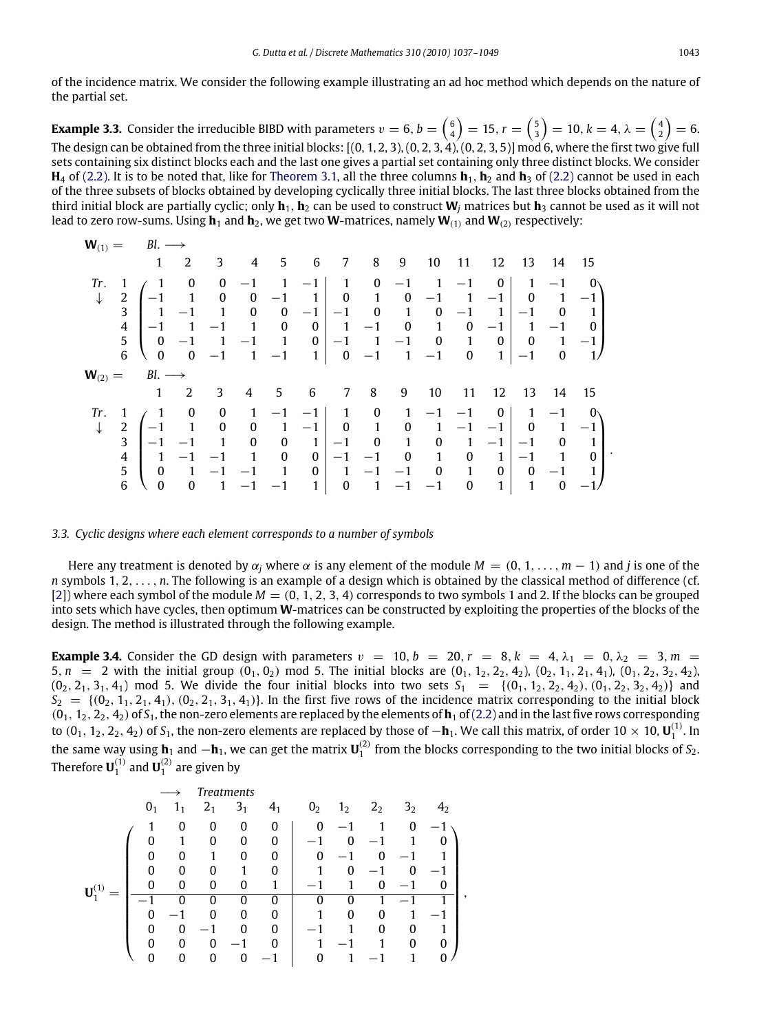of the incidence matrix. We consider the following example illustrating an ad hoc method which depends on the nature of the partial set.

<span id="page-6-0"></span>**Example 3.3.** Consider the irreducible BIBD with parameters  $v = 6$ ,  $b = \binom{6}{4} = 15$ ,  $r = \binom{5}{3} = 10$ ,  $k = 4$ ,  $\lambda = \binom{4}{2} = 6$ . The design can be obtained from the three initial blocks:  $[(0, 1, 2, 3), (0, 2, 3, 4), (0, 2, 3, 5)]$  mod 6, where the first two give full sets containing six distinct blocks each and the last one gives a partial set containing only three distinct blocks. We consider **H**<sub>4</sub> of [\(2.2\).](#page-2-4) It is to be noted that, like for [Theorem 3.1,](#page-5-0) all the three columns  $\mathbf{h}_1$ ,  $\mathbf{h}_2$  and  $\mathbf{h}_3$  of [\(2.2\)](#page-2-4) cannot be used in each of the three subsets of blocks obtained by developing cyclically three initial blocks. The last three blocks obtained from the third initial block are partially cyclic; only  $h_1$ ,  $h_2$  can be used to construct  $W_i$  matrices but  $h_3$  cannot be used as it will not lead to zero row-sums. Using  $\mathbf{h}_1$  and  $\mathbf{h}_2$ , we get two **W**-matrices, namely  $\mathbf{W}_{(1)}$  and  $\mathbf{W}_{(2)}$  respectively:

|       |                                       | $\mathbf{W}_{(1)} = \mathbf{B} \mathbf{I} \rightarrow$                                                                                                                                                                                                                                                                                  |                |                         |                         |  |                |                                                                                              |                 |                                                                                                                                                                          |                             |                |                         |
|-------|---------------------------------------|-----------------------------------------------------------------------------------------------------------------------------------------------------------------------------------------------------------------------------------------------------------------------------------------------------------------------------------------|----------------|-------------------------|-------------------------|--|----------------|----------------------------------------------------------------------------------------------|-----------------|--------------------------------------------------------------------------------------------------------------------------------------------------------------------------|-----------------------------|----------------|-------------------------|
|       |                                       |                                                                                                                                                                                                                                                                                                                                         | 2              |                         |                         |  |                |                                                                                              |                 | 3 4 5 6 7 8 9 10 11 12 13 14 15                                                                                                                                          |                             |                |                         |
| Tr.   | $\overline{4}$<br>$\overline{5}$<br>6 | $\begin{array}{c ccccccccc} 1 & 1 & 0 & 0 & -1 & 1 & -1 & 1 & 0 & -1 & 1 & -1 & 0 & 1 & -1 & 0 \\ 2 & -1 & 1 & 0 & 0 & -1 & 1 & 0 & 1 & 0 & -1 & 1 & -1 & 0 & 1 & -1 \\ 3 & 1 & -1 & 1 & 0 & 0 & -1 & -1 & 0 & 1 & 0 & -1 & 1 & -1 & 0 & 1 \end{array}$<br>$\begin{vmatrix} -1 & 1 & -1 & 1 & 0 & 0 \end{vmatrix}$ 1 -1 0 1 0 -1 1 -1 0 | $0 -1$         |                         |                         |  |                |                                                                                              |                 | 0 0 -1 -1 0 1 0 -1 1 -1 0<br>$1$ -1 1 0 -1 1 -1 0 1 0 0 1 -1<br>$\begin{array}{cccc cccc} \sqrt{0} & 0 & -1 & 1 & -1 & 1 & 0 & -1 & 1 & -1 & 0 & 1 & -1 & 0 \end{array}$ |                             |                |                         |
|       |                                       | $\mathbf{W}_{(2)} = \mathbf{B} \mathbf{I} \longrightarrow$                                                                                                                                                                                                                                                                              |                |                         |                         |  |                |                                                                                              |                 |                                                                                                                                                                          |                             |                |                         |
|       |                                       |                                                                                                                                                                                                                                                                                                                                         | $\overline{2}$ | $\overline{\mathbf{3}}$ |                         |  | 4 5 6 7 8 9 10 |                                                                                              | $\overline{11}$ | 12                                                                                                                                                                       | - 13                        | 14             | 15                      |
| Tr. 1 | $\overline{2}$<br>$\overline{3}$      | $\begin{pmatrix} 1 & 0 & 0 \\ -1 & 1 & 0 \\ 1 & 1 & 0 \end{pmatrix}$                                                                                                                                                                                                                                                                    | $-1$ $-1$ $1$  |                         | $\overline{\mathbf{0}}$ |  |                | $0 \quad 1 \mid -1 \quad 0 \quad 1$<br>$\begin{array}{cccc} 0 & 0 & -1 & -1 & 0 \end{array}$ |                 | $\begin{array}{c cccc} 1 & -1 & -1 & 1 & 0 & 1 & -1 & -1 & 0 & 1 & -1 & 0 \\ 0 & 1 & -1 & 0 & 1 & 0 & 1 & -1 & -1 & 0 & 1 & -1 \end{array}$<br>0 1 -1 -1 0               | $1 \quad 0 \quad 1 \mid -1$ | $\overline{1}$ | $\overline{\mathbf{0}}$ |

## *3.3. Cyclic designs where each element corresponds to a number of symbols*

Here any treatment is denoted by  $\alpha_i$  where  $\alpha$  is any element of the module  $M = (0, 1, \ldots, m - 1)$  and *j* is one of the *n* symbols 1, 2, . . . , *n*. The following is an example of a design which is obtained by the classical method of difference (cf. [\[2\]](#page-12-22)) where each symbol of the module  $M = (0, 1, 2, 3, 4)$  corresponds to two symbols 1 and 2. If the blocks can be grouped into sets which have cycles, then optimum **W**-matrices can be constructed by exploiting the properties of the blocks of the design. The method is illustrated through the following example.

<span id="page-6-1"></span>**Example 3.4.** Consider the GD design with parameters  $v = 10$ ,  $b = 20$ ,  $r = 8$ ,  $k = 4$ ,  $\lambda_1 = 0$ ,  $\lambda_2 = 3$ ,  $m =$ 5,  $n = 2$  with the initial group  $(0_1, 0_2)$  mod 5. The initial blocks are  $(0_1, 1_2, 2_2, 4_2)$ ,  $(0_2, 1_1, 2_1, 4_1)$ ,  $(0_1, 2_2, 3_2, 4_2)$ ,  $(0_2, 2_1, 3_1, 4_1)$  mod 5. We divide the four initial blocks into two sets  $S_1 = \{(0_1, 1_2, 2_2, 4_2), (0_1, 2_2, 3_2, 4_2)\}\$ and  $S_2 = \{(0, 1, 2, 4, 4), (0, 2, 3, 3, 4, 4)\}\$ . In the first five rows of the incidence matrix corresponding to the initial block  $(0_1, 1_2, 2_2, 4_2)$  of  $S_1$ , the non-zero elements are replaced by the elements of  $\mathbf{h}_1$  of [\(2.2\)](#page-2-4) and in the last five rows corresponding to (0<sub>1</sub>, 1<sub>2</sub>, 2<sub>2</sub>, 4<sub>2</sub>) of S<sub>1</sub>, the non-zero elements are replaced by those of  $-\bm{h}_1$ . We call this matrix, of order 10  $\times$  10,  $\bm{U}_1^{(1)}$ . In the same way using **h**<sub>1</sub> and  $-\mathbf{h}_1$ , we can get the matrix  $\mathbf{U}_1^{(2)}$  from the blocks corresponding to the two initial blocks of *S*<sub>2</sub>. Therefore  $\mathbf{U}_{1}^{(1)}$  and  $\mathbf{U}_{1}^{(2)}$  are given by

|                   |                |              |                | <b>Treatments</b> |                |                |                |                |                |                               |   |
|-------------------|----------------|--------------|----------------|-------------------|----------------|----------------|----------------|----------------|----------------|-------------------------------|---|
|                   | 0 <sub>1</sub> | 11           | 2 <sub>1</sub> | 3 <sub>1</sub>    | 4 <sub>1</sub> | 0 <sub>2</sub> | 1 <sub>2</sub> | 2 <sub>2</sub> | 3 <sub>2</sub> |                               |   |
|                   |                | 0            | 0              | 0                 | 0              | $\mathbf{0}$   |                |                | 0              | 1<br>$\overline{\phantom{m}}$ |   |
|                   | 0              |              | 0              | 0                 | 0              |                | 0              |                |                | 0                             |   |
|                   | 0              | 0            |                | 0                 | 0              | 0              |                | 0              |                |                               |   |
|                   | 0              | 0            | 0              | 1                 | 0              |                | 0              |                | 0              |                               |   |
| ${\bf U}_1^{(1)}$ | 0              | $\mathbf{0}$ | 0              | 0                 | 1              |                |                | 0              |                | 0                             |   |
|                   |                | O            | O              | 0                 | 0              | 0              | O              |                |                | 1                             | , |
|                   | 0              |              | 0              | 0                 | 0              |                | 0              | 0              |                |                               |   |
|                   | 0              | 0            |                | 0                 | $\mathbf{0}$   |                |                | 0              | 0              |                               |   |
|                   | 0              | 0            | $\mathbf{0}$   |                   | 0              |                |                |                | 0              | 0                             |   |
|                   | 0              | 0            | 0              | 0                 | $-1$           | 0              |                |                |                | 0                             |   |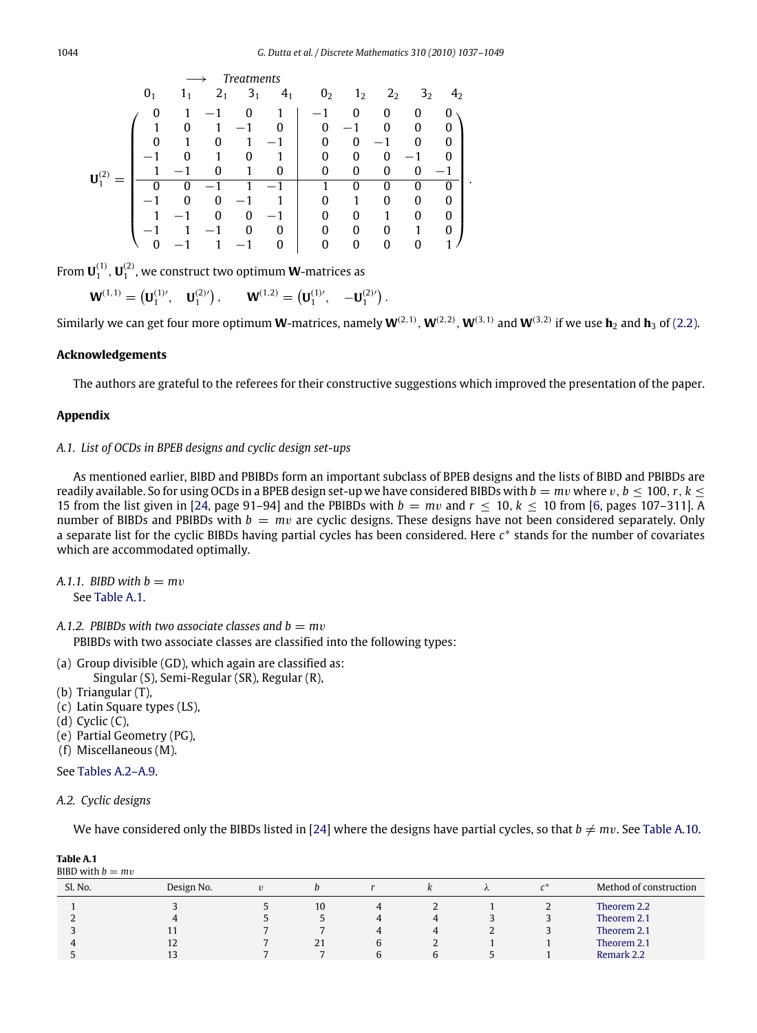$$
\mathbf{U}_{1}^{(2)}=\left(\begin{array}{cccccccc} 0 & 1 & 1 & 2 & 3 & 4 & 0 & 1 & 2 & 2 & 3 & 4 & 4\\ 0 & 1 & 1 & 0 & 1 & 1 & 0 & 0 & 0 & 0 & 0\\ 1 & 0 & 1 & -1 & 0 & 1 & -1 & 0 & 0 & 0 & 0\\ 0 & 1 & 0 & 1 & -1 & 0 & 0 & -1 & 0 & 0 & 0\\ -1 & 0 & 1 & 0 & 1 & 0 & 0 & 0 & -1 & 0 & 0\\ 1 & -1 & 0 & 1 & 0 & 0 & 0 & 0 & 0 & -1 & 0\\ -1 & 0 & 0 & -1 & 1 & -1 & 1 & 0 & 0 & 0 & 0 & 0\\ -1 & 1 & -1 & 0 & 0 & -1 & 0 & 0 & 0 & 1 & 0 & 0\\ -1 & 1 & -1 & 0 & 0 & 0 & 0 & 0 & 1 & 0 & 0\\ 0 & -1 & 1 & -1 & 0 & 0 & 0 & 0 & 0 & 0 & 1 \end{array}\right).
$$

From  $\mathbf{U}_1^{(1)},\mathbf{U}_1^{(2)}$ , we construct two optimum **W**-matrices as

$$
\mathbf{W}^{(1,1)} = (\mathbf{U}_1^{(1)'}, \quad \mathbf{U}_1^{(2)'}), \qquad \mathbf{W}^{(1,2)} = (\mathbf{U}_1^{(1)'}, \quad -\mathbf{U}_1^{(2)'}).
$$

Similarly we can get four more optimum **W**-matrices, namely  $W^{(2,1)}$ ,  $W^{(2,2)}$ ,  $W^{(3,1)}$  and  $W^{(3,2)}$  if we use  $h_2$  and  $h_3$  of [\(2.2\).](#page-2-4)

#### **Acknowledgements**

The authors are grateful to the referees for their constructive suggestions which improved the presentation of the paper.

## **Appendix**

## *A.1. List of OCDs in BPEB designs and cyclic design set-ups*

As mentioned earlier, BIBD and PBIBDs form an important subclass of BPEB designs and the lists of BIBD and PBIBDs are readily available. So for using OCDs in a BPEB design set-up we have considered BIBDs with  $b = mv$  where  $v, b \le 100, r, k \le$ 15 from the list given in [\[24,](#page-12-25) page 91–94] and the PBIBDs with  $b = mv$  and  $r < 10$ ,  $k < 10$  from [\[6,](#page-12-28) pages 107–311]. A number of BIBDs and PBIBDs with  $b = mv$  are cyclic designs. These designs have not been considered separately. Only a separate list for the cyclic BIBDs having partial cycles has been considered. Here *c* ∗ stands for the number of covariates which are accommodated optimally.

- *A.1.1. BIBD with*  $b = mv$ See [Table A.1.](#page-7-0)
- *A.1.2. PBIBDs with two associate classes and*  $b = mv$ PBIBDs with two associate classes are classified into the following types:
- (a) Group divisible (GD), which again are classified as: Singular (S), Semi-Regular (SR), Regular (R),
- (b) Triangular (T),
- (c) Latin Square types (LS),
- $(d)$  Cyclic  $(C)$ ,
- 
- (e) Partial Geometry (PG), (f) Miscellaneous (M).
- See [Tables A.2–A.9.](#page-8-0)
- 

```
A.2. Cyclic designs
```
<span id="page-7-0"></span>**Table A.1**

We have considered only the BIBDs listed in [\[24\]](#page-12-25) where the designs have partial cycles, so that  $b \neq mv$ . See [Table A.10.](#page-12-29)

| BIBD with $b = mv$ |            |            |    |   |  |                        |
|--------------------|------------|------------|----|---|--|------------------------|
| Sl. No.            | Design No. | $\upsilon$ |    |   |  | Method of construction |
|                    |            |            | 10 |   |  | Theorem 2.2            |
|                    |            |            |    | 4 |  | Theorem 2.1            |
|                    |            |            |    |   |  | Theorem 2.1            |
|                    | 12         |            | 21 |   |  | Theorem 2.1            |
|                    |            |            |    |   |  | Remark 2.2             |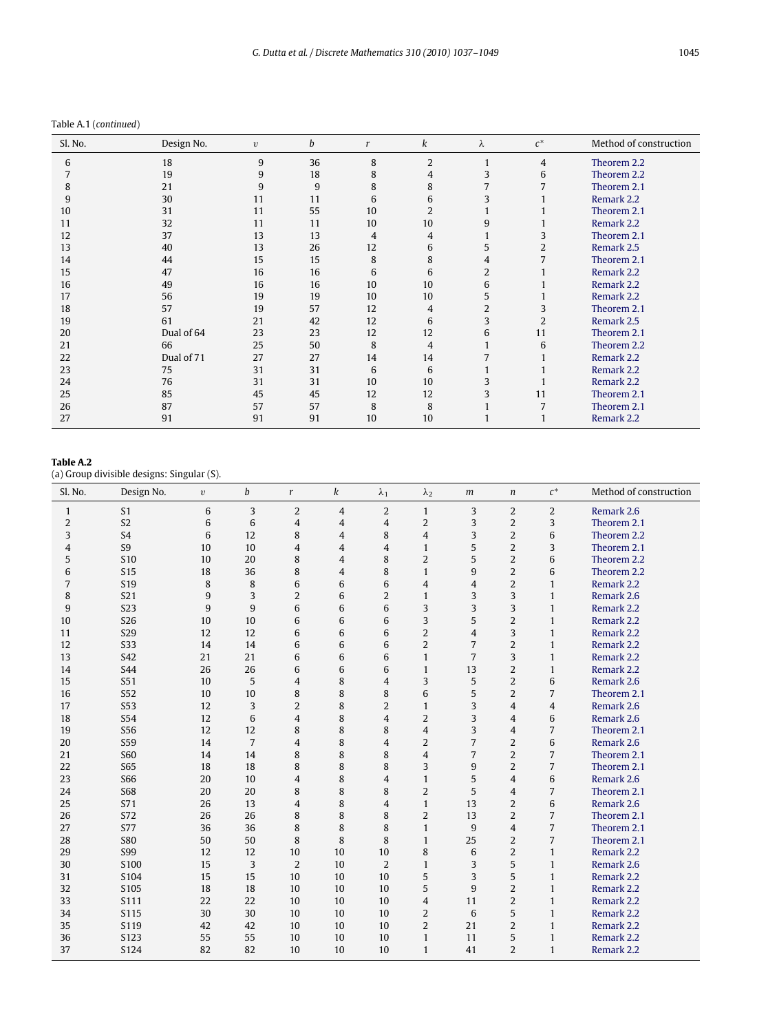Table A.1 (*continued*)

| Sl. No. | Design No. | $\upsilon$ | b  | r  | k              | λ              | $c^*$          | Method of construction |
|---------|------------|------------|----|----|----------------|----------------|----------------|------------------------|
| 6       | 18         | 9          | 36 | 8  | $\overline{2}$ | $\mathbf{1}$   | $\overline{4}$ | Theorem 2.2            |
|         | 19         | 9          | 18 | 8  | 4              | 3              | 6              | Theorem 2.2            |
| 8       | 21         | 9          | 9  | 8  | 8              | 7              | 7              | Theorem 2.1            |
| 9       | 30         | 11         | 11 | 6  | 6              | 3              |                | Remark 2.2             |
| 10      | 31         | 11         | 55 | 10 | 2              |                |                | Theorem 2.1            |
| 11      | 32         | 11         | 11 | 10 | 10             | 9              |                | Remark 2.2             |
| 12      | 37         | 13         | 13 | 4  | 4              |                | 3              | Theorem 2.1            |
| 13      | 40         | 13         | 26 | 12 | 6              | 5              | 2              | Remark 2.5             |
| 14      | 44         | 15         | 15 | 8  | 8              | 4              | 7              | Theorem 2.1            |
| 15      | 47         | 16         | 16 | 6  | 6              | $\overline{2}$ |                | Remark 2.2             |
| 16      | 49         | 16         | 16 | 10 | 10             | 6              |                | Remark 2.2             |
| 17      | 56         | 19         | 19 | 10 | 10             | 5              |                | Remark 2.2             |
| 18      | 57         | 19         | 57 | 12 | 4              | $\overline{2}$ | 3              | Theorem 2.1            |
| 19      | 61         | 21         | 42 | 12 | 6              | 3              | $\overline{2}$ | Remark 2.5             |
| 20      | Dual of 64 | 23         | 23 | 12 | 12             | 6              | 11             | Theorem 2.1            |
| 21      | 66         | 25         | 50 | 8  | 4              | $\mathbf{1}$   | 6              | Theorem 2.2            |
| 22      | Dual of 71 | 27         | 27 | 14 | 14             | 7              |                | Remark 2.2             |
| 23      | 75         | 31         | 31 | 6  | 6              |                |                | Remark 2.2             |
| 24      | 76         | 31         | 31 | 10 | 10             | 3              |                | Remark 2.2             |
| 25      | 85         | 45         | 45 | 12 | 12             | 3              | 11             | Theorem 2.1            |
| 26      | 87         | 57         | 57 | 8  | 8              |                | 7              | Theorem 2.1            |
| 27      | 91         | 91         | 91 | 10 | 10             |                |                | Remark 2.2             |

<span id="page-8-0"></span>**Table A.2**

(a) Group divisible designs: Singular (S).

| Sl. No.      | Design No.      | $\upsilon$ | b              | r              | k              | $\lambda_1$    | $\lambda_2$    | m              | $\boldsymbol{n}$        | $c^*$          | Method of construction |
|--------------|-----------------|------------|----------------|----------------|----------------|----------------|----------------|----------------|-------------------------|----------------|------------------------|
| $\mathbf{1}$ | S <sub>1</sub>  | 6          | 3              | $\overline{2}$ | $\overline{4}$ | $\overline{2}$ | $\mathbf{1}$   | 3              | $\overline{2}$          | $\overline{2}$ | Remark 2.6             |
| 2            | S <sub>2</sub>  | 6          | 6              | $\overline{4}$ | $\overline{4}$ | $\overline{4}$ | $\overline{2}$ | 3              | $\overline{2}$          | 3              | Theorem 2.1            |
| 3            | S <sub>4</sub>  | 6          | 12             | 8              | $\overline{4}$ | 8              | $\overline{4}$ | 3              | $\overline{2}$          | 6              | Theorem 2.2            |
| 4            | S <sub>9</sub>  | 10         | 10             | $\overline{4}$ | $\overline{4}$ | 4              | $\mathbf{1}$   | 5              | $\overline{2}$          | 3              | Theorem 2.1            |
| 5            | <b>S10</b>      | 10         | 20             | 8              | $\overline{4}$ | 8              | $\overline{2}$ | 5              | $\overline{2}$          | 6              | Theorem 2.2            |
| 6            | <b>S15</b>      | 18         | 36             | 8              | $\overline{4}$ | 8              | $\mathbf{1}$   | 9              | $\overline{2}$          | 6              | Theorem 2.2            |
| 7            | S <sub>19</sub> | 8          | 8              | 6              | 6              | 6              | $\overline{4}$ | $\overline{4}$ | $\overline{2}$          | $\mathbf{1}$   | Remark 2.2             |
| 8            | S21             | 9          | 3              | 2              | 6              | $\overline{2}$ | $\mathbf{1}$   | 3              | 3                       | $\mathbf{1}$   | Remark 2.6             |
| 9            | S <sub>23</sub> | 9          | 9              | 6              | 6              | 6              | 3              | 3              | 3                       | $\mathbf{1}$   | Remark 2.2             |
| 10           | <b>S26</b>      | 10         | 10             | 6              | 6              | 6              | 3              | 5              | $\overline{2}$          | $\mathbf{1}$   | Remark 2.2             |
| 11           | <b>S29</b>      | 12         | 12             | 6              | 6              | 6              | $\overline{2}$ | $\overline{4}$ | 3                       | $\mathbf{1}$   | Remark 2.2             |
| 12           | <b>S33</b>      | 14         | 14             | 6              | 6              | 6              | $\overline{2}$ | 7              | $\overline{2}$          | $\mathbf{1}$   | Remark 2.2             |
| 13           | S42             | 21         | 21             | 6              | 6              | 6              | $\mathbf{1}$   | 7              | 3                       | $\mathbf{1}$   | Remark 2.2             |
| 14           | <b>S44</b>      | 26         | 26             | 6              | 6              | 6              | $\mathbf{1}$   | 13             | $\overline{2}$          | $\mathbf{1}$   | Remark 2.2             |
| 15           | S51             | 10         | 5              | $\overline{4}$ | 8              | 4              | 3              | 5              | $\overline{2}$          | 6              | Remark 2.6             |
| 16           | S52             | 10         | 10             | 8              | 8              | 8              | 6              | 5              | $\overline{2}$          | 7              | Theorem 2.1            |
| 17           | S53             | 12         | 3              | $\overline{2}$ | 8              | $\overline{2}$ | $\mathbf{1}$   | 3              | $\overline{\mathbf{4}}$ | $\overline{4}$ | Remark 2.6             |
| 18           | S54             | 12         | 6              | $\overline{4}$ | 8              | 4              | $\overline{2}$ | 3              | $\overline{4}$          | 6              | Remark 2.6             |
| 19           | S56             | 12         | 12             | 8              | 8              | 8              | $\overline{4}$ | 3              | $\overline{4}$          | $\overline{7}$ | Theorem 2.1            |
| 20           | S59             | 14         | $\overline{7}$ | $\overline{4}$ | 8              | 4              | $\overline{2}$ | 7              | $\overline{2}$          | 6              | Remark 2.6             |
| 21           | <b>S60</b>      | 14         | 14             | 8              | 8              | 8              | $\overline{4}$ | 7              | $\overline{2}$          | 7              | Theorem 2.1            |
| 22           | <b>S65</b>      | 18         | 18             | 8              | 8              | 8              | 3              | 9              | $\overline{2}$          | 7              | Theorem 2.1            |
| 23           | <b>S66</b>      | 20         | 10             | $\overline{4}$ | 8              | 4              | $\mathbf{1}$   | 5              | 4                       | 6              | Remark 2.6             |
| 24           | <b>S68</b>      | 20         | 20             | 8              | 8              | 8              | $\overline{2}$ | 5              | 4                       | 7              | Theorem 2.1            |
| 25           | S71             | 26         | 13             | $\overline{4}$ | 8              | 4              | $\mathbf{1}$   | 13             | $\overline{2}$          | 6              | Remark 2.6             |
| 26           | S72             | 26         | 26             | 8              | 8              | 8              | $\overline{2}$ | 13             | $\overline{2}$          | $\overline{7}$ | Theorem 2.1            |
| 27           | <b>S77</b>      | 36         | 36             | 8              | 8              | 8              | $\mathbf{1}$   | 9              | 4                       | $\overline{7}$ | Theorem 2.1            |
| 28           | <b>S80</b>      | 50         | 50             | 8              | 8              | 8              | $\mathbf{1}$   | 25             | $\overline{2}$          | $\overline{7}$ | Theorem 2.1            |
| 29           | <b>S99</b>      | 12         | 12             | 10             | 10             | 10             | 8              | 6              | $\overline{2}$          | $\mathbf{1}$   | Remark 2.2             |
| 30           | S100            | 15         | 3              | $\overline{2}$ | 10             | $\overline{2}$ | $\mathbf{1}$   | 3              | 5                       | $\mathbf{1}$   | Remark 2.6             |
| 31           | S104            | 15         | 15             | 10             | 10             | 10             | 5              | 3              | 5                       | $\mathbf{1}$   | Remark 2.2             |
| 32           | S105            | 18         | 18             | 10             | 10             | 10             | 5              | 9              | $\overline{2}$          | $\mathbf{1}$   | Remark 2.2             |
| 33           | S111            | 22         | 22             | 10             | 10             | 10             | $\overline{4}$ | 11             | $\overline{2}$          | $\mathbf{1}$   | Remark 2.2             |
| 34           | S115            | 30         | 30             | 10             | 10             | 10             | $\overline{2}$ | 6              | 5                       | $\mathbf{1}$   | Remark 2.2             |
| 35           | S119            | 42         | 42             | 10             | 10             | 10             | $\overline{2}$ | 21             | $\overline{2}$          | $\mathbf{1}$   | Remark 2.2             |
| 36           | S123            | 55         | 55             | 10             | 10             | 10             | $\mathbf{1}$   | 11             | 5                       | $\mathbf{1}$   | Remark 2.2             |
| 37           | S124            | 82         | 82             | 10             | 10             | 10             | $\mathbf{1}$   | 41             | $\overline{2}$          | $\mathbf{1}$   | Remark 2.2             |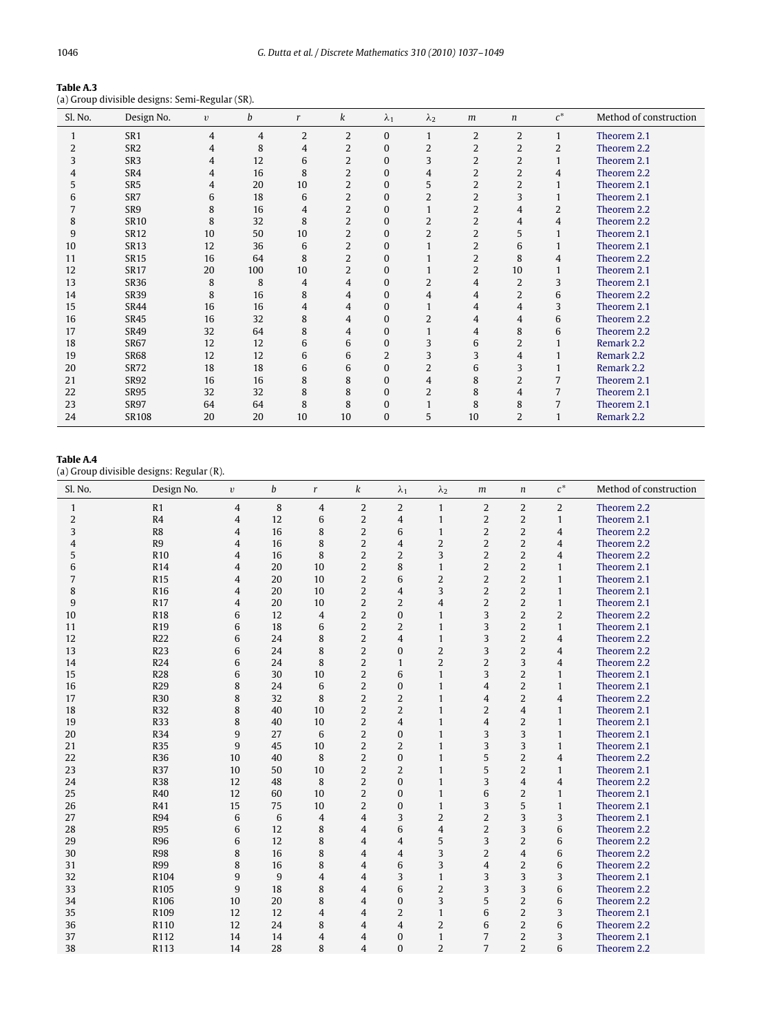| Table A.3 |                                                 |  |
|-----------|-------------------------------------------------|--|
|           | (a) Group divisible designs: Semi-Regular (SR). |  |

| Sl. No. | Design No.      | $\upsilon$     | b              | $\mathbf{r}$   | k              | $\lambda_1$  | $\lambda_2$    | m              | n              | $c^*$          | Method of construction |
|---------|-----------------|----------------|----------------|----------------|----------------|--------------|----------------|----------------|----------------|----------------|------------------------|
|         | SR <sub>1</sub> | $\overline{4}$ | $\overline{4}$ | $\overline{2}$ | $\overline{2}$ | $\mathbf{0}$ | $\mathbf{1}$   | $\overline{2}$ | $\overline{2}$ | $\mathbf{1}$   | Theorem 2.1            |
| 2       | SR <sub>2</sub> | 4              | 8              | $\overline{4}$ | $\overline{2}$ | $\Omega$     | 2              | $\overline{2}$ | $\overline{2}$ | 2              | Theorem 2.2            |
| 3       | SR <sub>3</sub> | 4              | 12             | 6              | $\overline{2}$ | $\Omega$     | 3              | $\overline{2}$ | $\overline{2}$ |                | Theorem 2.1            |
| 4       | SR4             | 4              | 16             | 8              | $\overline{2}$ | $\mathbf{0}$ | $\overline{4}$ | $\overline{2}$ | $\overline{2}$ | 4              | Theorem 2.2            |
| 5       | SR <sub>5</sub> | 4              | 20             | 10             | $\overline{2}$ | $\Omega$     | 5              | $\overline{2}$ | $\overline{2}$ | 1              | Theorem 2.1            |
| 6       | SR7             | 6              | 18             | 6              | $\overline{2}$ | $\Omega$     | $\overline{2}$ | $\overline{2}$ | 3              |                | Theorem 2.1            |
|         | SR9             | 8              | 16             | $\overline{4}$ | $\overline{2}$ | $\Omega$     | $\mathbf{1}$   | $\overline{2}$ | 4              | $\overline{2}$ | Theorem 2.2            |
| 8       | <b>SR10</b>     | 8              | 32             | 8              | $\overline{2}$ | $\Omega$     | $\overline{2}$ | $\overline{2}$ | $\overline{4}$ | 4              | Theorem 2.2            |
| 9       | <b>SR12</b>     | 10             | 50             | 10             | $\overline{2}$ | $\Omega$     | $\overline{2}$ | $\overline{2}$ | 5              | $\mathbf{1}$   | Theorem 2.1            |
| 10      | <b>SR13</b>     | 12             | 36             | 6              | $\overline{2}$ | $\Omega$     | $\mathbf{1}$   | $\overline{2}$ | 6              | $\mathbf{1}$   | Theorem 2.1            |
| 11      | <b>SR15</b>     | 16             | 64             | 8              | $\overline{2}$ | $\bf{0}$     | $\mathbf{1}$   | $\overline{2}$ | 8              | 4              | Theorem 2.2            |
| 12      | <b>SR17</b>     | 20             | 100            | 10             | $\overline{2}$ | $\Omega$     | $\mathbf{1}$   | $\overline{2}$ | 10             | 1              | Theorem 2.1            |
| 13      | <b>SR36</b>     | 8              | 8              | 4              | $\overline{4}$ | $\Omega$     | 2              | 4              | 2              | 3              | Theorem 2.1            |
| 14      | <b>SR39</b>     | 8              | 16             | 8              | 4              | $\Omega$     | 4              | 4              | $\overline{2}$ | 6              | Theorem 2.2            |
| 15      | <b>SR44</b>     | 16             | 16             | 4              | $\overline{4}$ | $\Omega$     | $\mathbf{1}$   | 4              | 4              | 3              | Theorem 2.1            |
| 16      | <b>SR45</b>     | 16             | 32             | 8              | 4              | $\Omega$     | $\overline{2}$ | 4              | 4              | 6              | Theorem 2.2            |
| 17      | <b>SR49</b>     | 32             | 64             | 8              | 4              | $\bf{0}$     |                | 4              | 8              | 6              | Theorem 2.2            |
| 18      | <b>SR67</b>     | 12             | 12             | 6              | 6              | $\mathbf{0}$ | 3              | 6              | $\overline{2}$ |                | Remark 2.2             |
| 19      | <b>SR68</b>     | 12             | 12             | 6              | 6              | 2            | 3              | 3              | 4              |                | Remark 2.2             |
| 20      | SR72            | 18             | 18             | 6              | 6              | $\Omega$     | $\overline{2}$ | 6              | 3              |                | Remark 2.2             |
| 21      | <b>SR92</b>     | 16             | 16             | 8              | 8              | $\Omega$     | $\overline{4}$ | 8              | $\overline{2}$ | 7              | Theorem 2.1            |
| 22      | <b>SR95</b>     | 32             | 32             | 8              | 8              | $\Omega$     | $\overline{2}$ | 8              | 4              | 7              | Theorem 2.1            |
| 23      | <b>SR97</b>     | 64             | 64             | 8              | 8              | $\mathbf{0}$ | $\mathbf{1}$   | 8              | 8              | 7              | Theorem 2.1            |
| 24      | <b>SR108</b>    | 20             | 20             | 10             | 10             | $\bf{0}$     | 5              | 10             | 2              | 1              | Remark 2.2             |

## **Table A.4**

(a) Group divisible designs: Regular (R).

| Sl. No.        | Design No.       | $\upsilon$     | b  | $\mathbf{r}$   | k              | $\lambda_1$    | $\lambda_2$    | m              | $\boldsymbol{n}$ | $c^*$          | Method of construction |
|----------------|------------------|----------------|----|----------------|----------------|----------------|----------------|----------------|------------------|----------------|------------------------|
| $\mathbf{1}$   | R1               | $\overline{4}$ | 8  | 4              | $\overline{2}$ | 2              | $\mathbf{1}$   | 2              | $\overline{2}$   | 2              | Theorem 2.2            |
| $\overline{2}$ | R <sub>4</sub>   | $\overline{4}$ | 12 | 6              | $\overline{2}$ | $\overline{4}$ | $\mathbf{1}$   | $\overline{2}$ | $\overline{2}$   | $\mathbf{1}$   | Theorem 2.1            |
| 3              | R <sub>8</sub>   | $\overline{4}$ | 16 | 8              | $\overline{2}$ | 6              | $\mathbf{1}$   | $\overline{2}$ | $\overline{2}$   | $\overline{4}$ | Theorem 2.2            |
| 4              | R9               | $\overline{4}$ | 16 | 8              | 2              | $\overline{4}$ | $\overline{2}$ | $\overline{2}$ | $\overline{2}$   | $\overline{4}$ | Theorem 2.2            |
| 5              | R <sub>10</sub>  | $\overline{4}$ | 16 | 8              | $\overline{2}$ | $\overline{2}$ | 3              | $\overline{2}$ | 2                | $\overline{4}$ | Theorem 2.2            |
| 6              | R <sub>14</sub>  | $\overline{4}$ | 20 | 10             | $\overline{2}$ | 8              | $\mathbf{1}$   | $\overline{2}$ | $\overline{2}$   | $\mathbf{1}$   | Theorem 2.1            |
| 7              | R <sub>15</sub>  | $\overline{4}$ | 20 | 10             | 2              | 6              | $\overline{2}$ | $\overline{2}$ | $\overline{2}$   | $\mathbf{1}$   | Theorem 2.1            |
| 8              | R <sub>16</sub>  | $\overline{4}$ | 20 | 10             | $\overline{2}$ | 4              | 3              | $\overline{2}$ | 2                | $\mathbf{1}$   | Theorem 2.1            |
| 9              | R <sub>17</sub>  | $\overline{4}$ | 20 | 10             | 2              | $\overline{2}$ | $\overline{4}$ | $\overline{2}$ | 2                | $\mathbf{1}$   | Theorem 2.1            |
| 10             | <b>R18</b>       | 6              | 12 | 4              | $\overline{2}$ | $\Omega$       | $\mathbf{1}$   | 3              | $\overline{2}$   | 2              | Theorem 2.2            |
| 11             | R <sub>19</sub>  | 6              | 18 | 6              | $\overline{2}$ | $\overline{2}$ | $\mathbf{1}$   | 3              | $\overline{2}$   | $\mathbf{1}$   | Theorem 2.1            |
| 12             | R22              | 6              | 24 | 8              | $\overline{2}$ | 4              | $\mathbf{1}$   | 3              | $\overline{2}$   | $\overline{4}$ | Theorem 2.2            |
| 13             | R23              | 6              | 24 | 8              | $\overline{2}$ | $\Omega$       | $\overline{2}$ | 3              | $\overline{2}$   | $\overline{4}$ | Theorem 2.2            |
| 14             | R <sub>24</sub>  | 6              | 24 | 8              | 2              | $\mathbf{1}$   | $\overline{2}$ | $\overline{2}$ | 3                | $\overline{4}$ | Theorem 2.2            |
| 15             | <b>R28</b>       | 6              | 30 | 10             | $\overline{2}$ | 6              | $\mathbf{1}$   | 3              | $\overline{2}$   | $\mathbf{1}$   | Theorem 2.1            |
| 16             | R <sub>29</sub>  | 8              | 24 | 6              | $\overline{2}$ | $\Omega$       | $\mathbf{1}$   | $\overline{4}$ | 2                | $\mathbf{1}$   | Theorem 2.1            |
| 17             | <b>R30</b>       | 8              | 32 | 8              | $\overline{2}$ | $\overline{2}$ | $\mathbf{1}$   | $\overline{4}$ | $\overline{2}$   | $\overline{4}$ | Theorem 2.2            |
| 18             | R32              | 8              | 40 | 10             | 2              | $\overline{2}$ | $\mathbf{1}$   | $\overline{2}$ | $\overline{4}$   | $\mathbf{1}$   | Theorem 2.1            |
| 19             | R33              | 8              | 40 | 10             | $\overline{2}$ | $\overline{4}$ | $\mathbf{1}$   | $\overline{4}$ | $\overline{2}$   | $\mathbf{1}$   | Theorem 2.1            |
| 20             | R34              | 9              | 27 | 6              | $\overline{2}$ | $\overline{0}$ | $\mathbf{1}$   | 3              | 3                | $\mathbf{1}$   | Theorem 2.1            |
| 21             | <b>R35</b>       | 9              | 45 | 10             | $\overline{2}$ | $\overline{2}$ | $\mathbf{1}$   | 3              | 3                | $\mathbf{1}$   | Theorem 2.1            |
| 22             | R36              | 10             | 40 | 8              | 2              | $\Omega$       | $\mathbf{1}$   | 5              | 2                | $\overline{4}$ | Theorem 2.2            |
| 23             | R37              | 10             | 50 | 10             | $\overline{2}$ | $\overline{2}$ | $\mathbf{1}$   | 5              | $\overline{2}$   | $\mathbf{1}$   | Theorem 2.1            |
| 24             | <b>R38</b>       | 12             | 48 | 8              | $\overline{2}$ | $\Omega$       | $\mathbf{1}$   | 3              | $\overline{4}$   | $\overline{4}$ | Theorem 2.2            |
| 25             | R40              | 12             | 60 | 10             | $\overline{2}$ | $\Omega$       | $\mathbf{1}$   | 6              | $\overline{2}$   | $\mathbf{1}$   | Theorem 2.1            |
| 26             | R41              | 15             | 75 | 10             | $\overline{2}$ | $\Omega$       | $\mathbf{1}$   | 3              | 5                | $\mathbf{1}$   | Theorem 2.1            |
| 27             | R94              | 6              | 6  | $\overline{4}$ | $\overline{4}$ | 3              | $\overline{2}$ | $\overline{2}$ | 3                | 3              | Theorem 2.1            |
| 28             | <b>R95</b>       | 6              | 12 | 8              | 4              | 6              | $\overline{4}$ | $\overline{2}$ | 3                | 6              | Theorem 2.2            |
| 29             | <b>R96</b>       | 6              | 12 | 8              | 4              | 4              | 5              | 3              | $\overline{2}$   | 6              | Theorem 2.2            |
| 30             | <b>R98</b>       | 8              | 16 | 8              | 4              | $\overline{4}$ | 3              | $\overline{2}$ | $\overline{4}$   | 6              | Theorem 2.2            |
| 31             | <b>R99</b>       | 8              | 16 | 8              | $\overline{4}$ | 6              | 3              | $\overline{4}$ | 2                | 6              | Theorem 2.2            |
| 32             | R104             | 9              | 9  | $\overline{4}$ | $\overline{4}$ | 3              | $\mathbf{1}$   | 3              | 3                | 3              | Theorem 2.1            |
| 33             | R <sub>105</sub> | 9              | 18 | 8              | $\overline{4}$ | 6              | $\overline{2}$ | 3              | 3                | 6              | Theorem 2.2            |
| 34             | R106             | 10             | 20 | 8              | $\overline{4}$ | $\Omega$       | 3              | 5              | $\overline{2}$   | 6              | Theorem 2.2            |
| 35             | R <sub>109</sub> | 12             | 12 | $\overline{4}$ | $\overline{4}$ | $\overline{2}$ | $\mathbf{1}$   | 6              | 2                | 3              | Theorem 2.1            |
| 36             | R110             | 12             | 24 | 8              | 4              | 4              | $\overline{2}$ | 6              | $\overline{2}$   | 6              | Theorem 2.2            |
| 37             | R112             | 14             | 14 | $\overline{4}$ | 4              | $\Omega$       | $\mathbf{1}$   | $\overline{7}$ | $\overline{2}$   | 3              | Theorem 2.1            |
| 38             | R113             | 14             | 28 | 8              | $\overline{4}$ | $\Omega$       | $\overline{2}$ | $\overline{7}$ | $\overline{2}$   | 6              | Theorem 2.2            |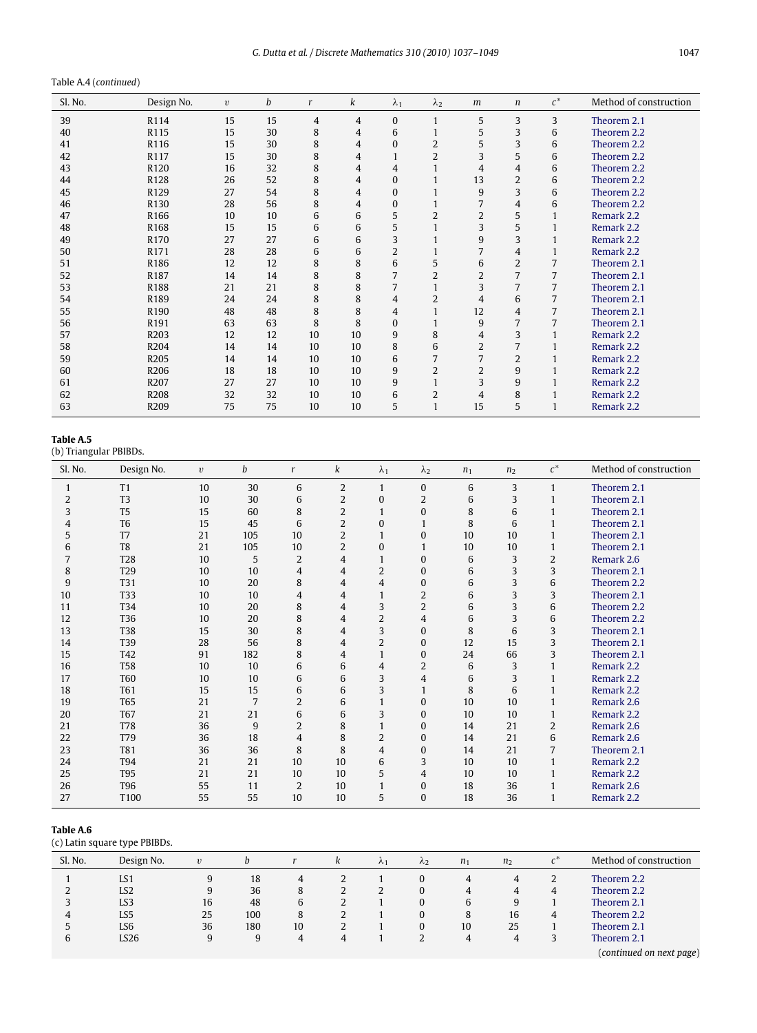## Table A.4 (*continued*)

| Sl. No. | Design No.       | $\upsilon$ | b  | r              | k               | $\lambda_1$    | $\lambda_2$    | m              | $\boldsymbol{n}$ | $c^*$          | Method of construction |
|---------|------------------|------------|----|----------------|-----------------|----------------|----------------|----------------|------------------|----------------|------------------------|
| 39      | R114             | 15         | 15 | $\overline{4}$ | 4               | $\Omega$       | 1              | 5              | 3                | 3              | Theorem 2.1            |
| 40      | R115             | 15         | 30 | 8              | 4               | 6              | $\mathbf{1}$   | 5              | 3                | 6              | Theorem 2.2            |
| 41      | R116             | 15         | 30 | 8              | 4               | $\Omega$       | $\overline{2}$ | 5              | 3                | 6              | Theorem 2.2            |
| 42      | R117             | 15         | 30 | 8              | 4               |                | $\overline{2}$ | 3              | 5                | 6              | Theorem 2.2            |
| 43      | R <sub>120</sub> | 16         | 32 | 8              | 4               | 4              | $\mathbf{1}$   | $\overline{4}$ | $\overline{4}$   | 6              | Theorem 2.2            |
| 44      | R <sub>128</sub> | 26         | 52 | 8              | 4               | $\Omega$       | $\mathbf{1}$   | 13             | 2                | 6              | Theorem 2.2            |
| 45      | R129             | 27         | 54 | 8              | 4               | $\Omega$       | $\mathbf{1}$   | 9              | 3                | 6              | Theorem 2.2            |
| 46      | R <sub>130</sub> | 28         | 56 | 8              | 4               | 0              | 1              | 7              | $\overline{4}$   | 6              | Theorem 2.2            |
| 47      | R <sub>166</sub> | 10         | 10 | 6              | 6               | 5              | $\overline{2}$ | $\overline{2}$ | 5                | 1              | Remark 2.2             |
| 48      | R <sub>168</sub> | 15         | 15 | 6              | 6               | 5              | $\mathbf{1}$   | 3              | 5                | 1              | Remark 2.2             |
| 49      | R <sub>170</sub> | 27         | 27 | 6              | 6               | 3              |                | 9              | 3                | 1              | Remark 2.2             |
| 50      | R171             | 28         | 28 | 6              | 6               | $\overline{2}$ | 1              | 7              | 4                | 1              | Remark 2.2             |
| 51      | R186             | 12         | 12 | 8              | 8               | 6              | 5              | 6              | $\overline{2}$   | 7              | Theorem 2.1            |
| 52      | R187             | 14         | 14 | 8              | 8               | 7              | $\overline{2}$ | $\overline{2}$ | 7                | 7              | Theorem 2.1            |
| 53      | R188             | 21         | 21 | 8              | 8               | 7              | 1              | 3              | 7                | 7              | Theorem 2.1            |
| 54      | R189             | 24         | 24 | 8              | 8               | 4              | $\overline{2}$ | $\overline{4}$ | 6                | 7              | Theorem 2.1            |
| 55      | R <sub>190</sub> | 48         | 48 | 8              | 8               | 4              | 1              | 12             | 4                | $\overline{7}$ | Theorem 2.1            |
| 56      | R191             | 63         | 63 | 8              | 8               | $\Omega$       | 1              | 9              | 7                | 7              | Theorem 2.1            |
| 57      | R203             | 12         | 12 | 10             | 10              | 9              | 8              | 4              | 3                |                | Remark 2.2             |
| 58      | R204             | 14         | 14 | 10             | 10              | 8              | 6              | $\overline{2}$ | 7                | 1              | Remark 2.2             |
| 59      | R <sub>205</sub> | 14         | 14 | 10             | 10              | 6              | 7              |                | $\overline{2}$   | 1              | Remark 2.2             |
| 60      | R <sub>206</sub> | 18         | 18 | 10             | 10 <sup>1</sup> | 9              | $\overline{2}$ | $\overline{2}$ | 9                | 1              | Remark 2.2             |
| 61      | R207             | 27         | 27 | 10             | 10              | 9              | $\mathbf{1}$   | 3              | 9                | $\mathbf{1}$   | Remark 2.2             |
| 62      | R208             | 32         | 32 | 10             | 10              | 6              | 2              | 4              | 8                | 1              | Remark 2.2             |
| 63      | R <sub>209</sub> | 75         | 75 | 10             | 10              | 5              | $\mathbf{1}$   | 15             | 5                | 1              | Remark 2.2             |

## **Table A.5**

(b) Triangular PBIBDs.

| Sl. No. | Design No.      | $\upsilon$ | b   | $\mathbf{r}$   | k              | $\lambda_1$    | $\lambda_2$    | n <sub>1</sub> | n <sub>2</sub> | $c^*$          | Method of construction |
|---------|-----------------|------------|-----|----------------|----------------|----------------|----------------|----------------|----------------|----------------|------------------------|
| 1       | T1              | 10         | 30  | 6              | $\overline{2}$ |                | $\Omega$       | 6              | 3              | $\mathbf{1}$   | Theorem 2.1            |
| 2       | T <sub>3</sub>  | 10         | 30  | 6              | $\overline{2}$ | $\bf{0}$       | $\overline{2}$ | 6              | 3              | 1              | Theorem 2.1            |
| 3       | T <sub>5</sub>  | 15         | 60  | 8              | $\overline{2}$ |                | $\bf{0}$       | 8              | 6              | $\mathbf{1}$   | Theorem 2.1            |
| 4       | T <sub>6</sub>  | 15         | 45  | 6              | $\overline{2}$ | $\mathbf{0}$   | $\mathbf{1}$   | 8              | 6              | 1              | Theorem 2.1            |
| 5       | T7              | 21         | 105 | 10             | $\overline{2}$ |                | $\bf{0}$       | 10             | 10             | 1              | Theorem 2.1            |
| 6       | T <sub>8</sub>  | 21         | 105 | 10             | $\overline{2}$ | $\Omega$       | $\mathbf{1}$   | 10             | 10             | $\mathbf{1}$   | Theorem 2.1            |
| 7       | <b>T28</b>      | 10         | 5   | 2              | 4              |                | $\bf{0}$       | 6              | 3              | $\overline{2}$ | Remark 2.6             |
| 8       | T <sub>29</sub> | 10         | 10  | $\overline{4}$ | 4              | $\overline{2}$ | $\Omega$       | 6              | 3              | 3              | Theorem 2.1            |
| 9       | T31             | 10         | 20  | 8              | 4              | $\overline{4}$ | $\bf{0}$       | 6              | 3              | 6              | Theorem 2.2            |
| 10      | T33             | 10         | 10  | 4              | 4              |                | 2              | 6              | 3              | 3              | Theorem 2.1            |
| 11      | T <sub>34</sub> | 10         | 20  | 8              | $\overline{4}$ | 3              | $\overline{2}$ | 6              | 3              | 6              | Theorem 2.2            |
| 12      | T36             | 10         | 20  | 8              | 4              | $\overline{2}$ | $\overline{4}$ | 6              | 3              | 6              | Theorem 2.2            |
| 13      | <b>T38</b>      | 15         | 30  | 8              | $\overline{4}$ | 3              | $\Omega$       | 8              | 6              | 3              | Theorem 2.1            |
| 14      | T39             | 28         | 56  | 8              | $\overline{4}$ | $\overline{2}$ | $\bf{0}$       | 12             | 15             | 3              | Theorem 2.1            |
| 15      | T42             | 91         | 182 | 8              | $\overline{4}$ |                | $\bf{0}$       | 24             | 66             | 3              | Theorem 2.1            |
| 16      | <b>T58</b>      | 10         | 10  | 6              | 6              | $\overline{4}$ | $\overline{2}$ | 6              | 3              | $\mathbf{1}$   | Remark 2.2             |
| 17      | <b>T60</b>      | 10         | 10  | 6              | 6              | 3              | $\overline{4}$ | 6              | 3              | $\mathbf{1}$   | Remark 2.2             |
| 18      | <b>T61</b>      | 15         | 15  | 6              | 6              | 3              | $\mathbf{1}$   | 8              | 6              | $\mathbf{1}$   | Remark 2.2             |
| 19      | <b>T65</b>      | 21         | 7   | $\overline{2}$ | 6              |                | $\bf{0}$       | 10             | 10             | $\mathbf{1}$   | Remark 2.6             |
| 20      | <b>T67</b>      | 21         | 21  | 6              | 6              | 3              | $\bf{0}$       | 10             | 10             |                | Remark 2.2             |
| 21      | T78             | 36         | 9   | 2              | 8              |                | $\Omega$       | 14             | 21             | 2              | Remark 2.6             |
| 22      | T79             | 36         | 18  | 4              | 8              | 2              | $\bf{0}$       | 14             | 21             | 6              | Remark 2.6             |
| 23      | <b>T81</b>      | 36         | 36  | 8              | 8              | $\overline{4}$ | $\Omega$       | 14             | 21             | 7              | Theorem 2.1            |
| 24      | <b>T94</b>      | 21         | 21  | 10             | 10             | 6              | 3              | 10             | 10             | 1              | Remark 2.2             |
| 25      | <b>T95</b>      | 21         | 21  | 10             | 10             | 5              | $\overline{4}$ | 10             | 10             | 1              | Remark 2.2             |
| 26      | T96             | 55         | 11  | $\overline{2}$ | 10             |                | $\bf{0}$       | 18             | 36             |                | Remark 2.6             |
| 27      | T100            | 55         | 55  | 10             | 10             | 5              | $\bf{0}$       | 18             | 36             |                | Remark 2.2             |

#### **Table A.6**

(c) Latin square type PBIBDs.

| Sl. No. | Design No.      | $\upsilon$ | h   |    | ĸ | $\Lambda_1$ | $\Lambda$ | n <sub>1</sub> | n <sub>2</sub> | $c^*$ | Method of construction   |
|---------|-----------------|------------|-----|----|---|-------------|-----------|----------------|----------------|-------|--------------------------|
|         | LS1             | 9          | 18  | 4  |   |             | 0         | 4              | 4              | ∠     | Theorem 2.2              |
|         | LS <sub>2</sub> | 9          | 36  | 8  | ∠ |             | 0         | 4              | 4              | 4     | Theorem 2.2              |
|         | LS3             | 16         | 48  | b  |   |             | 0         | 6              | 9              |       | Theorem 2.1              |
| 4       | LS5             | 25         | 100 | 8  |   |             | 0         | 8              | 16             | 4     | Theorem 2.2              |
|         | LS <sub>6</sub> | 36         | 180 | 10 |   |             | 0         | 10             | 25             |       | Theorem 2.1              |
| 6       | LS26            | 9          | 9   | 4  | 4 |             |           | $\Delta$       |                | ć     | Theorem 2.1              |
|         |                 |            |     |    |   |             |           |                |                |       | (continued on next page) |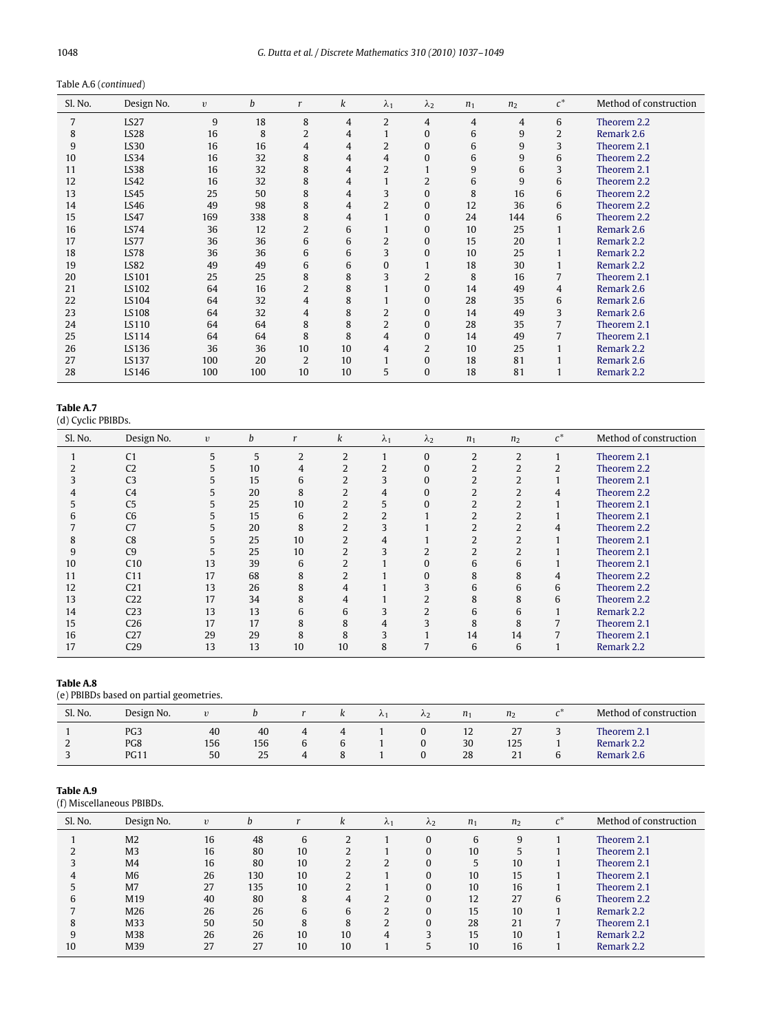| Sl. No. | Design No.       | $\upsilon$ | b   | r              | k              | $\lambda_1$    | $\lambda_2$    | $n_1$ | n <sub>2</sub> | $c^*$          | Method of construction |
|---------|------------------|------------|-----|----------------|----------------|----------------|----------------|-------|----------------|----------------|------------------------|
| 7       | LS27             | 9          | 18  | 8              | $\overline{4}$ | $\overline{2}$ | 4              | 4     | $\overline{4}$ | 6              | Theorem 2.2            |
| 8       | LS <sub>28</sub> | 16         | 8   | $\overline{2}$ | 4              |                | $\bf{0}$       | 6     | 9              | $\overline{2}$ | Remark 2.6             |
| 9       | LS30             | 16         | 16  | $\overline{4}$ | 4              | 2              | $\bf{0}$       | 6     | 9              | 3              | Theorem 2.1            |
| 10      | LS34             | 16         | 32  | 8              | 4              | $\overline{4}$ | 0              | 6     | 9              | 6              | Theorem 2.2            |
| 11      | LS38             | 16         | 32  | 8              | 4              | 2              | $\mathbf{1}$   | 9     | 6              | 3              | Theorem 2.1            |
| 12      | LS42             | 16         | 32  | 8              | 4              |                | $\overline{2}$ | 6     | 9              | 6              | Theorem 2.2            |
| 13      | LS45             | 25         | 50  | 8              | 4              | 3              | 0              | 8     | 16             | 6              | Theorem 2.2            |
| 14      | LS46             | 49         | 98  | 8              | 4              | $\overline{2}$ | $\bf{0}$       | 12    | 36             | 6              | Theorem 2.2            |
| 15      | LS47             | 169        | 338 | 8              | 4              |                | $\Omega$       | 24    | 144            | 6              | Theorem 2.2            |
| 16      | LS74             | 36         | 12  | $\overline{2}$ | 6              |                | $\bf{0}$       | 10    | 25             |                | Remark 2.6             |
| 17      | LS77             | 36         | 36  | 6              | 6              | 2              | $\bf{0}$       | 15    | 20             |                | Remark 2.2             |
| 18      | LS78             | 36         | 36  | 6              | 6              | 3              | $\bf{0}$       | 10    | 25             |                | Remark 2.2             |
| 19      | LS82             | 49         | 49  | 6              | 6              | $\bf{0}$       | 1              | 18    | 30             |                | Remark 2.2             |
| 20      | LS101            | 25         | 25  | 8              | 8              | 3              | $\overline{2}$ | 8     | 16             |                | Theorem 2.1            |
| 21      | LS102            | 64         | 16  | $\overline{2}$ | 8              |                | $\bf{0}$       | 14    | 49             | 4              | Remark 2.6             |
| 22      | LS104            | 64         | 32  | 4              | 8              |                | $\bf{0}$       | 28    | 35             | 6              | Remark 2.6             |
| 23      | LS108            | 64         | 32  | 4              | 8              | $\overline{2}$ | $\bf{0}$       | 14    | 49             | 3              | Remark 2.6             |
| 24      | LS110            | 64         | 64  | 8              | 8              | $\overline{2}$ | $\mathbf{0}$   | 28    | 35             | 7              | Theorem 2.1            |
| 25      | LS114            | 64         | 64  | 8              | 8              | 4              | $\Omega$       | 14    | 49             |                | Theorem 2.1            |
| 26      | LS136            | 36         | 36  | 10             | 10             | 4              | 2              | 10    | 25             |                | Remark 2.2             |
| 27      | LS137            | 100        | 20  | $\overline{2}$ | 10             |                | $\bf{0}$       | 18    | 81             |                | Remark 2.6             |
| 28      | LS146            | 100        | 100 | 10             | 10             | 5              | $\bf{0}$       | 18    | 81             |                | Remark 2.2             |

**Table A.7**

(d) Cyclic PBIBDs.

| $\cdots$      |                 |            |    |    |    |                         |                |                |                |       |                        |
|---------------|-----------------|------------|----|----|----|-------------------------|----------------|----------------|----------------|-------|------------------------|
| Sl. No.       | Design No.      | $\upsilon$ | b  | r  | k  | $\lambda_1$             | $\lambda_2$    | n <sub>1</sub> | n <sub>2</sub> | $c^*$ | Method of construction |
|               | C <sub>1</sub>  | 5          | 5  | 2  | 2  |                         | $\Omega$       | 2              | 2              |       | Theorem 2.1            |
|               | C <sub>2</sub>  | 5          | 10 | 4  |    | 2                       | 0              | 2              |                | 2     | Theorem 2.2            |
| 3             | C <sub>3</sub>  | 5          | 15 | 6  |    | 3                       | $\Omega$       |                |                |       | Theorem 2.1            |
| 4             | C <sub>4</sub>  | 5          | 20 | 8  |    | 4                       | $\Omega$       |                |                | 4     | Theorem 2.2            |
| $\mathcal{L}$ | C <sub>5</sub>  | 5          | 25 | 10 |    | 5                       | $\Omega$       |                |                |       | Theorem 2.1            |
| 6             | C <sub>6</sub>  | 5          | 15 | 6  |    |                         |                |                |                |       | Theorem 2.1            |
|               | C <sub>7</sub>  | 5          | 20 | 8  |    |                         |                |                |                |       | Theorem 2.2            |
| 8             | C8              |            | 25 | 10 |    | 4                       |                |                |                |       | Theorem 2.1            |
| 9             | C <sub>9</sub>  |            | 25 | 10 |    | 3                       | 2              |                |                |       | Theorem 2.1            |
| 10            | C10             | 13         | 39 | 6  |    |                         | 0              | 6              | 6              |       | Theorem 2.1            |
| 11            | C <sub>11</sub> | 17         | 68 | 8  |    |                         |                | 8              | 8              | 4     | Theorem 2.2            |
| 12            | C <sub>21</sub> | 13         | 26 | 8  | 4  |                         | 3              | 6              | 6              | 6     | Theorem 2.2            |
| 13            | C <sub>22</sub> | 17         | 34 | 8  | 4  |                         | $\overline{2}$ | 8              | 8              | 6     | Theorem 2.2            |
| 14            | C <sub>23</sub> | 13         | 13 | 6  | 6  |                         | $\overline{2}$ | 6              | 6              |       | Remark 2.2             |
| 15            | C <sub>26</sub> | 17         | 17 | 8  | 8  | 4                       | 3              | 8              | 8              |       | Theorem 2.1            |
| 16            | C27             | 29         | 29 | 8  | 8  | $\overline{\mathbf{3}}$ |                | 14             | 14             |       | Theorem 2.1            |
| 17            | C29             | 13         | 13 | 10 | 10 | 8                       |                | 6              | 6              |       | Remark 2.2             |
|               |                 |            |    |    |    |                         |                |                |                |       |                        |

## **Table A.8**

(e) PBIBDs based on partial geometries.

| Sl. No. | Design No.                            | $\boldsymbol{v}$ |                 |               | ĸ | $\mathcal{N}$ 1 | $\Lambda$ | n <sub>1</sub> | n <sub>2</sub>          | ~*          | Method of construction                  |
|---------|---------------------------------------|------------------|-----------------|---------------|---|-----------------|-----------|----------------|-------------------------|-------------|-----------------------------------------|
|         | PG <sub>3</sub><br>PG8<br><b>PG11</b> | 40<br>156<br>50  | 40<br>156<br>25 | 4<br>$\Delta$ |   |                 |           | 12<br>30<br>28 | $\angle l$<br>125<br>21 | $\sim$<br>b | Theorem 2.1<br>Remark 2.2<br>Remark 2.6 |

## **Table A.9**

(f) Miscellaneous PBIBDs.

| Sl. No. | Design No.     | $\upsilon$ | h   |    | ĸ            | $\lambda_1$    | $\lambda$ | $n_1$ | n <sub>2</sub> | $c^*$ | Method of construction |
|---------|----------------|------------|-----|----|--------------|----------------|-----------|-------|----------------|-------|------------------------|
|         | M <sub>2</sub> | 16         | 48  | 6  | ำ            |                | $\Omega$  | 6     | 9              |       | Theorem 2.1            |
|         | M <sub>3</sub> | 16         | 80  | 10 |              |                | $\Omega$  | 10    |                |       | Theorem 2.1            |
|         | M4             | 16         | 80  | 10 |              |                | $\Omega$  | 5     | 10             |       | Theorem 2.1            |
|         | M <sub>6</sub> | 26         | 130 | 10 |              |                | $\Omega$  | 10    | 15             |       | Theorem 2.1            |
|         | M7             | 27         | 135 | 10 | <sup>-</sup> |                | $\Omega$  | 10    | 16             |       | Theorem 2.1            |
| 6       | M19            | 40         | 80  | 8  | 4            |                | $\Omega$  | 12    | 27             | 6     | Theorem 2.2            |
|         | M26            | 26         | 26  | 6  | 6            | <sup>-</sup>   | $\Omega$  | 15    | 10             |       | Remark 2.2             |
| 8       | M33            | 50         | 50  | 8  | 8            | $\overline{2}$ | $\Omega$  | 28    | 21             |       | Theorem 2.1            |
| 9       | M38            | 26         | 26  | 10 | 10           | 4              | 3         | 15    | 10             |       | Remark 2.2             |
| 10      | M39            | 27         | 27  | 10 | 10           |                | 5         | 10    | 16             |       | Remark 2.2             |